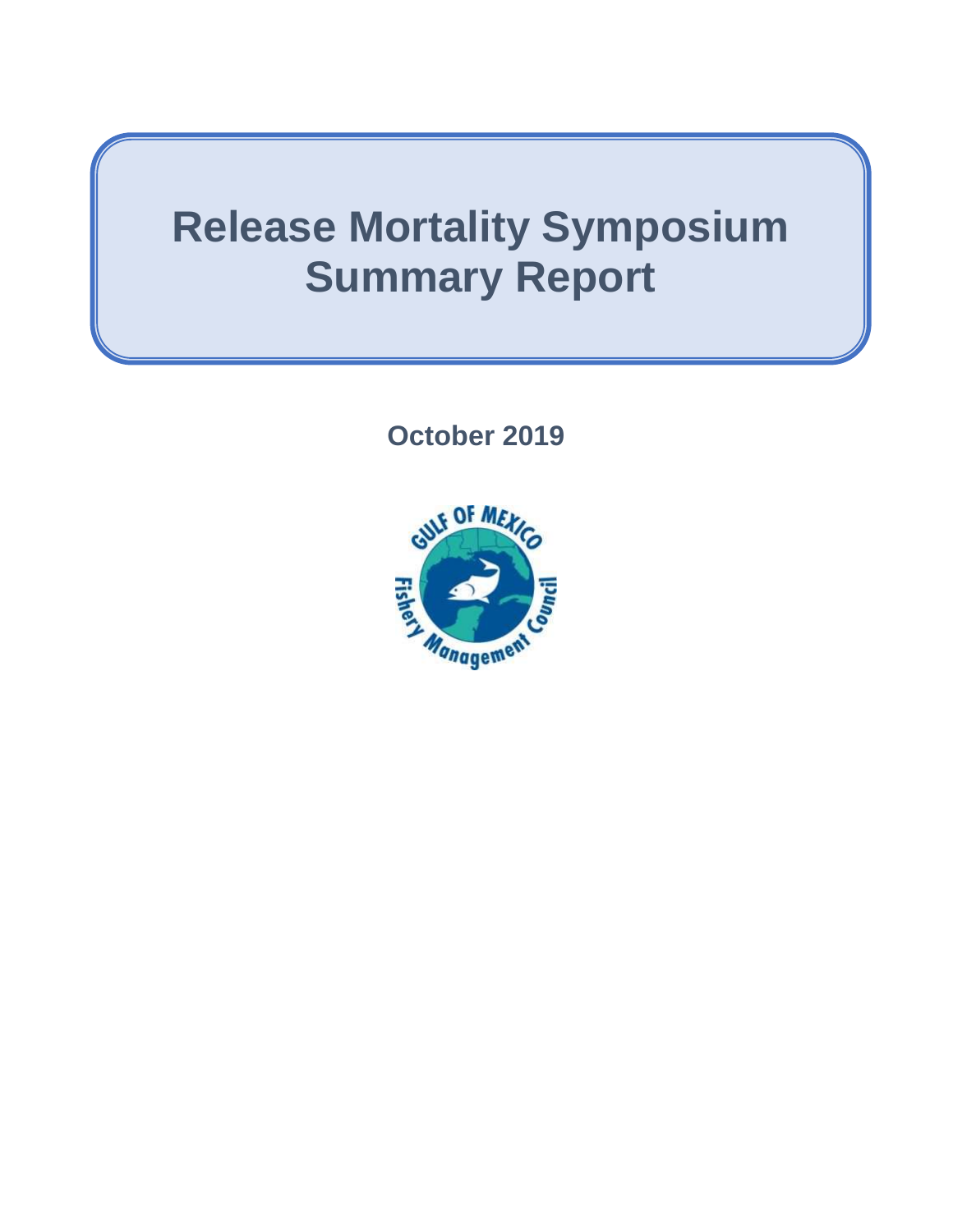# **Release Mortality Symposium Summary Report**

**October 2019**

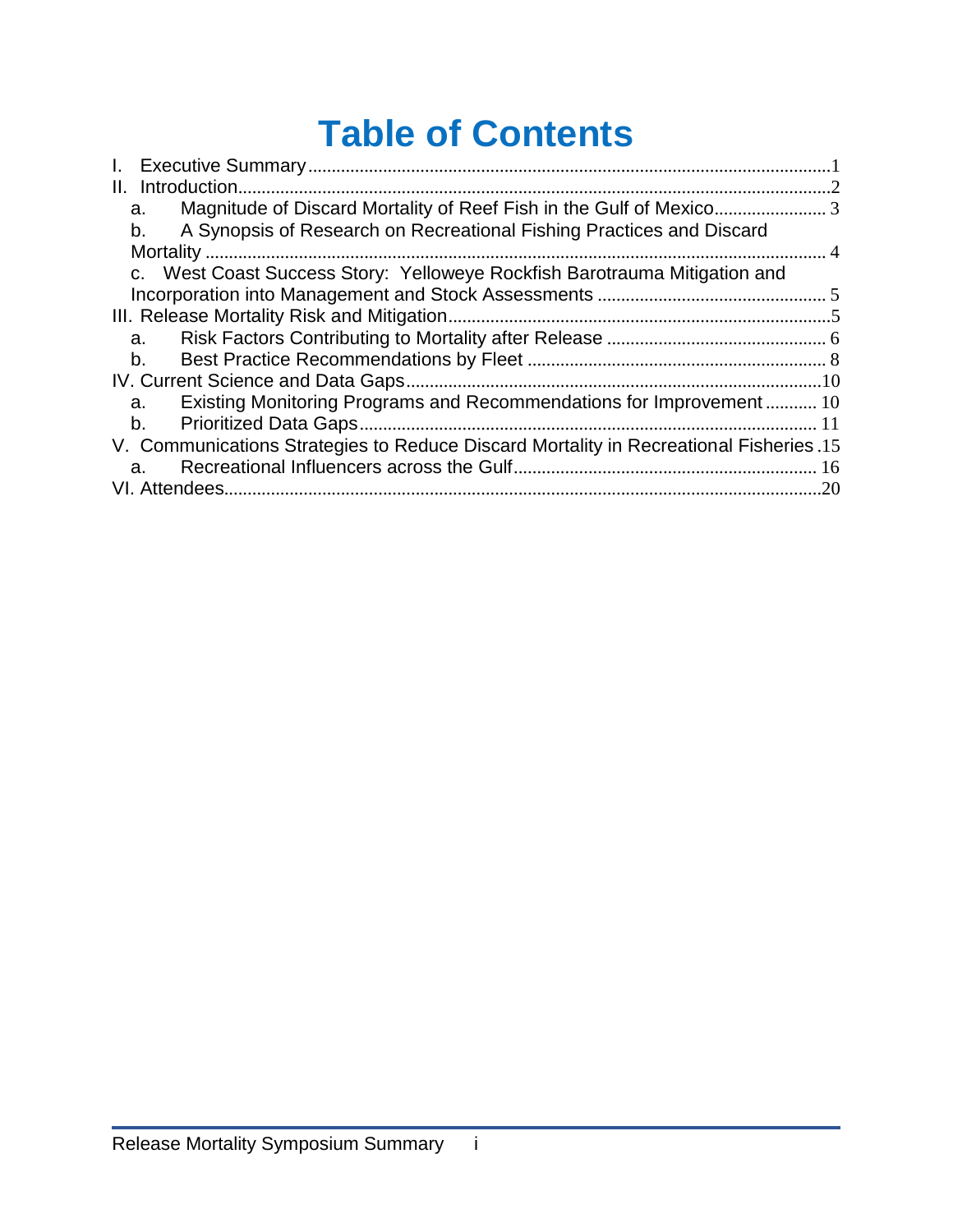# **Table of Contents**

| $\mathbf{L}$                                                                          |     |
|---------------------------------------------------------------------------------------|-----|
| Introduction.<br>Ш.                                                                   |     |
| a.                                                                                    |     |
| A Synopsis of Research on Recreational Fishing Practices and Discard<br>b.            |     |
|                                                                                       |     |
| c. West Coast Success Story: Yelloweye Rockfish Barotrauma Mitigation and             |     |
|                                                                                       |     |
|                                                                                       |     |
| a.                                                                                    |     |
| $b_{1}$                                                                               |     |
|                                                                                       |     |
| Existing Monitoring Programs and Recommendations for Improvement 10<br>a.             |     |
| $b_{1}$                                                                               |     |
| V. Communications Strategies to Reduce Discard Mortality in Recreational Fisheries.15 |     |
| a.                                                                                    |     |
| VI. Attendees.                                                                        | .20 |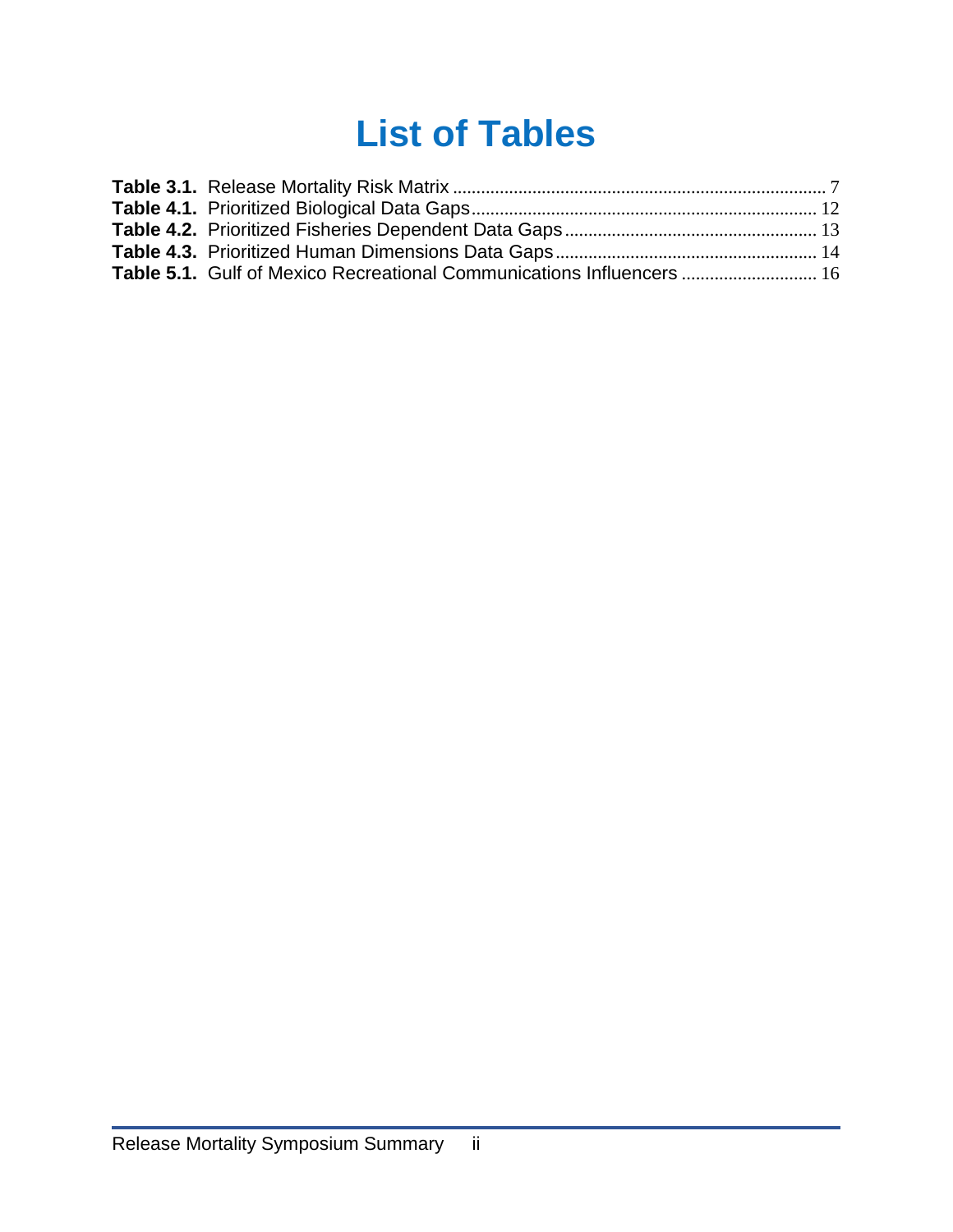# **List of Tables**

| <b>Table 5.1.</b> Gulf of Mexico Recreational Communications Influencers  16 |  |
|------------------------------------------------------------------------------|--|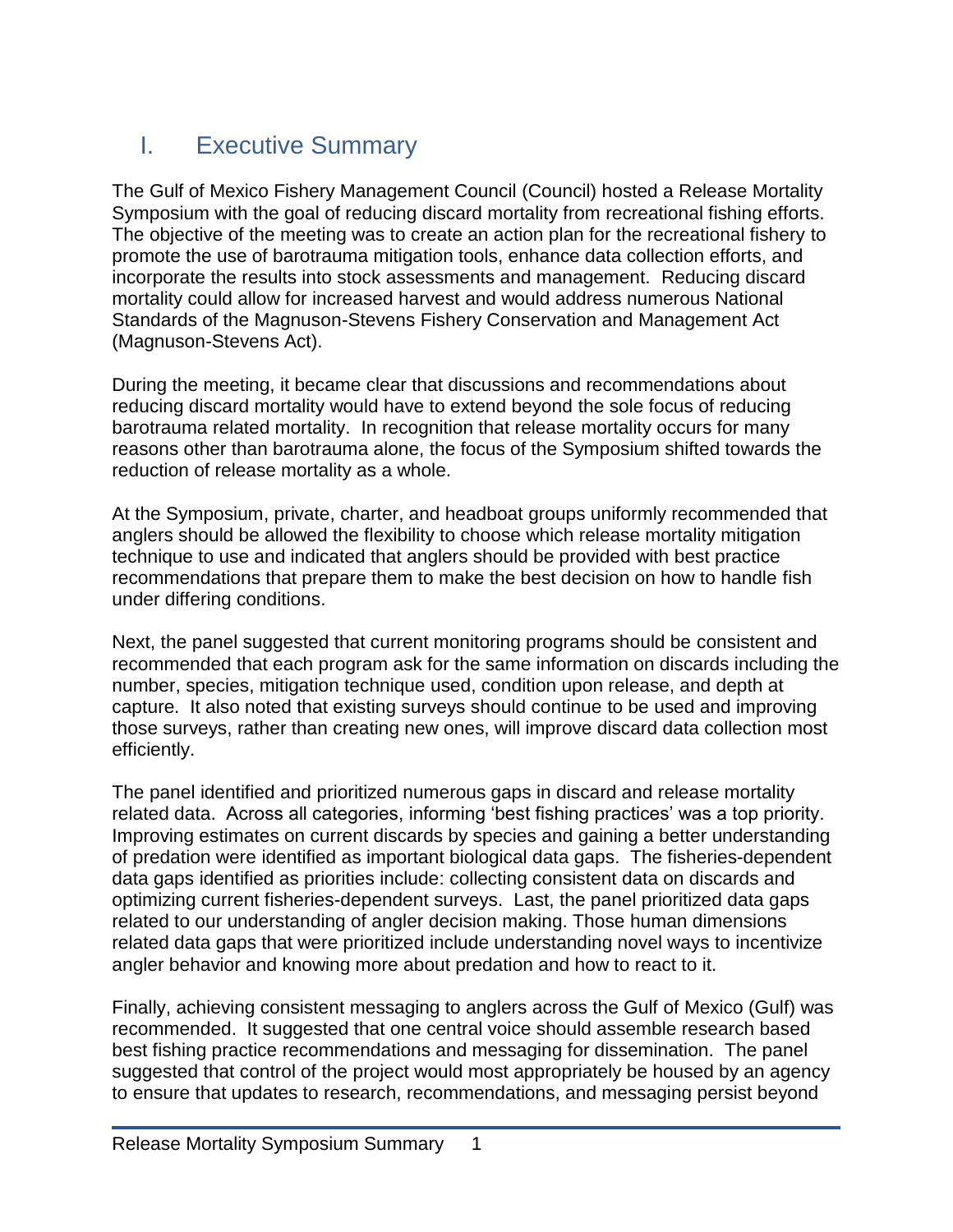# <span id="page-3-0"></span>I. Executive Summary

The Gulf of Mexico Fishery Management Council (Council) hosted a Release Mortality Symposium with the goal of reducing discard mortality from recreational fishing efforts. The objective of the meeting was to create an action plan for the recreational fishery to promote the use of barotrauma mitigation tools, enhance data collection efforts, and incorporate the results into stock assessments and management. Reducing discard mortality could allow for increased harvest and would address numerous National Standards of the Magnuson-Stevens Fishery Conservation and Management Act (Magnuson-Stevens Act).

During the meeting, it became clear that discussions and recommendations about reducing discard mortality would have to extend beyond the sole focus of reducing barotrauma related mortality. In recognition that release mortality occurs for many reasons other than barotrauma alone, the focus of the Symposium shifted towards the reduction of release mortality as a whole.

At the Symposium, private, charter, and headboat groups uniformly recommended that anglers should be allowed the flexibility to choose which release mortality mitigation technique to use and indicated that anglers should be provided with best practice recommendations that prepare them to make the best decision on how to handle fish under differing conditions.

Next, the panel suggested that current monitoring programs should be consistent and recommended that each program ask for the same information on discards including the number, species, mitigation technique used, condition upon release, and depth at capture. It also noted that existing surveys should continue to be used and improving those surveys, rather than creating new ones, will improve discard data collection most efficiently.

The panel identified and prioritized numerous gaps in discard and release mortality related data. Across all categories, informing 'best fishing practices' was a top priority. Improving estimates on current discards by species and gaining a better understanding of predation were identified as important biological data gaps. The fisheries-dependent data gaps identified as priorities include: collecting consistent data on discards and optimizing current fisheries-dependent surveys. Last, the panel prioritized data gaps related to our understanding of angler decision making. Those human dimensions related data gaps that were prioritized include understanding novel ways to incentivize angler behavior and knowing more about predation and how to react to it.

Finally, achieving consistent messaging to anglers across the Gulf of Mexico (Gulf) was recommended. It suggested that one central voice should assemble research based best fishing practice recommendations and messaging for dissemination. The panel suggested that control of the project would most appropriately be housed by an agency to ensure that updates to research, recommendations, and messaging persist beyond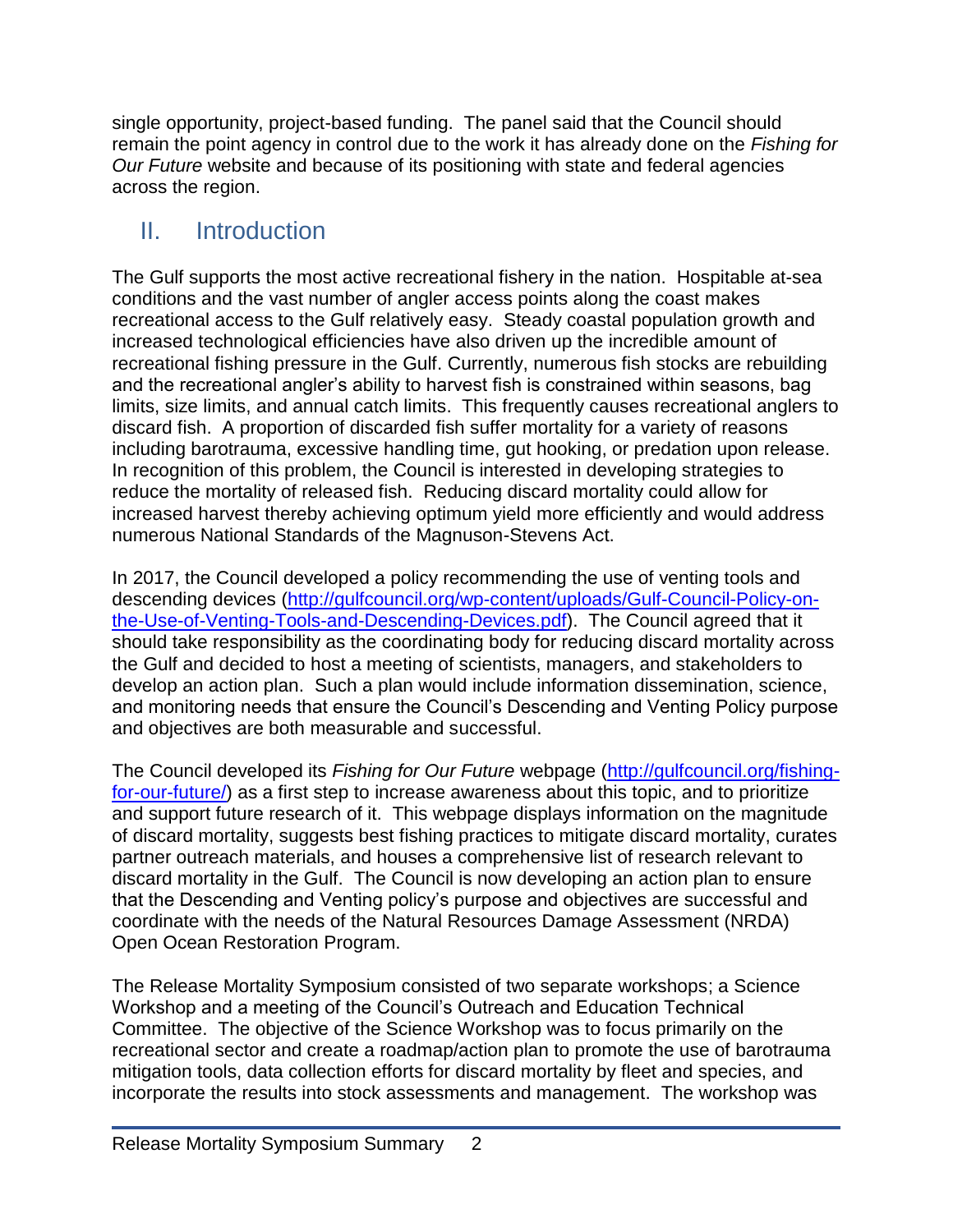single opportunity, project-based funding. The panel said that the Council should remain the point agency in control due to the work it has already done on the *Fishing for Our Future* website and because of its positioning with state and federal agencies across the region.

# <span id="page-4-0"></span>II. Introduction

The Gulf supports the most active recreational fishery in the nation. Hospitable at-sea conditions and the vast number of angler access points along the coast makes recreational access to the Gulf relatively easy. Steady coastal population growth and increased technological efficiencies have also driven up the incredible amount of recreational fishing pressure in the Gulf. Currently, numerous fish stocks are rebuilding and the recreational angler's ability to harvest fish is constrained within seasons, bag limits, size limits, and annual catch limits. This frequently causes recreational anglers to discard fish. A proportion of discarded fish suffer mortality for a variety of reasons including barotrauma, excessive handling time, gut hooking, or predation upon release. In recognition of this problem, the Council is interested in developing strategies to reduce the mortality of released fish. Reducing discard mortality could allow for increased harvest thereby achieving optimum yield more efficiently and would address numerous National Standards of the Magnuson-Stevens Act.

In 2017, the Council developed a policy recommending the use of venting tools and descending devices [\(http://gulfcouncil.org/wp-content/uploads/Gulf-Council-Policy-on](http://gulfcouncil.org/wp-content/uploads/Gulf-Council-Policy-on-the-Use-of-Venting-Tools-and-Descending-Devices.pdf)[the-Use-of-Venting-Tools-and-Descending-Devices.pdf\)](http://gulfcouncil.org/wp-content/uploads/Gulf-Council-Policy-on-the-Use-of-Venting-Tools-and-Descending-Devices.pdf). The Council agreed that it should take responsibility as the coordinating body for reducing discard mortality across the Gulf and decided to host a meeting of scientists, managers, and stakeholders to develop an action plan. Such a plan would include information dissemination, science, and monitoring needs that ensure the Council's Descending and Venting Policy purpose and objectives are both measurable and successful.

The Council developed its *Fishing for Our Future* webpage [\(http://gulfcouncil.org/fishing](http://gulfcouncil.org/fishing-for-our-future/)[for-our-future/\)](http://gulfcouncil.org/fishing-for-our-future/) as a first step to increase awareness about this topic, and to prioritize and support future research of it. This webpage displays information on the magnitude of discard mortality, suggests best fishing practices to mitigate discard mortality, curates partner outreach materials, and houses a comprehensive list of research relevant to discard mortality in the Gulf. The Council is now developing an action plan to ensure that the Descending and Venting policy's purpose and objectives are successful and coordinate with the needs of the Natural Resources Damage Assessment (NRDA) Open Ocean Restoration Program.

The Release Mortality Symposium consisted of two separate workshops; a Science Workshop and a meeting of the Council's Outreach and Education Technical Committee. The objective of the Science Workshop was to focus primarily on the recreational sector and create a roadmap/action plan to promote the use of barotrauma mitigation tools, data collection efforts for discard mortality by fleet and species, and incorporate the results into stock assessments and management. The workshop was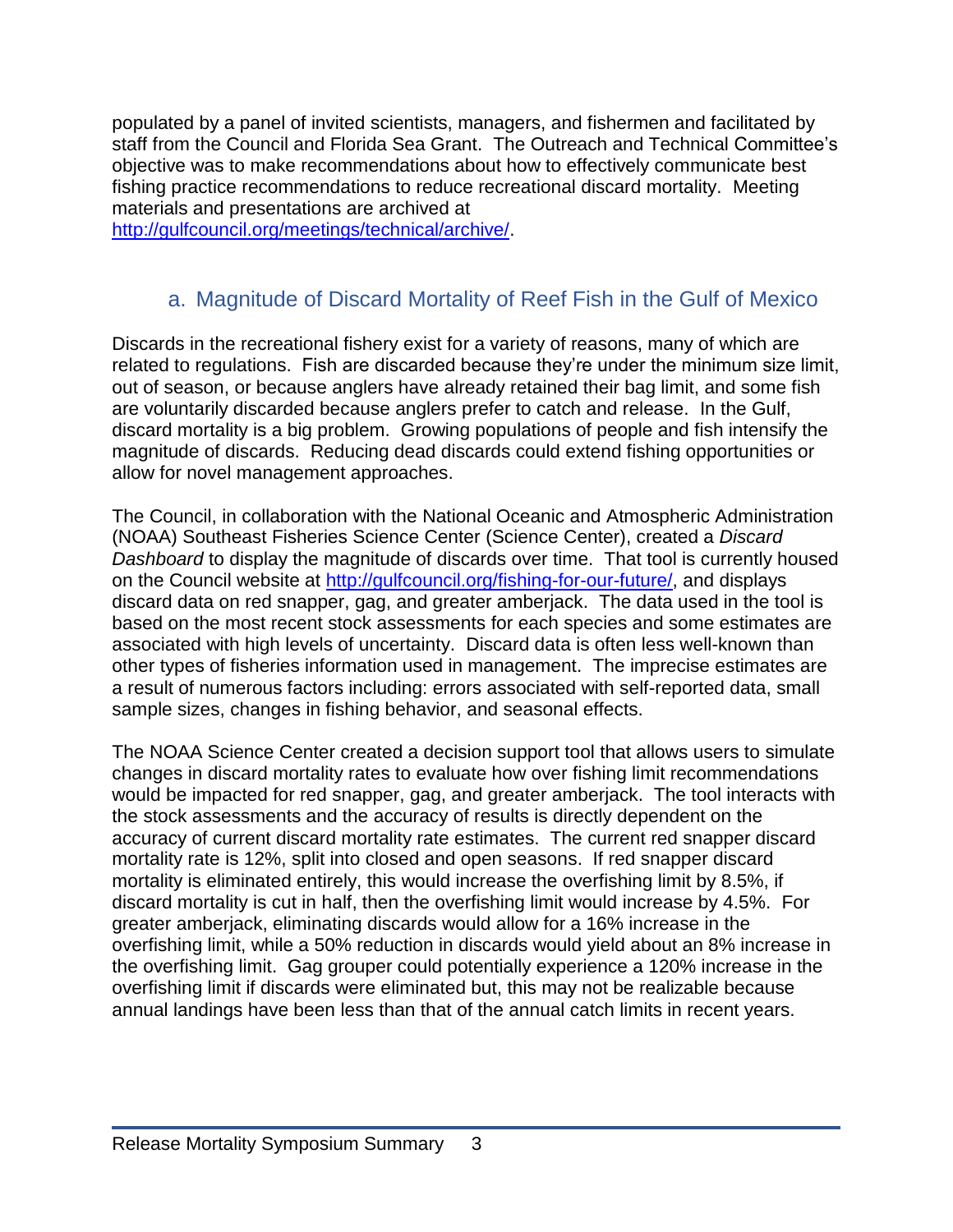populated by a panel of invited scientists, managers, and fishermen and facilitated by staff from the Council and Florida Sea Grant. The Outreach and Technical Committee's objective was to make recommendations about how to effectively communicate best fishing practice recommendations to reduce recreational discard mortality. Meeting materials and presentations are archived at

[http://gulfcouncil.org/meetings/technical/archive/.](http://gulfcouncil.org/meetings/technical/archive/)

## a. Magnitude of Discard Mortality of Reef Fish in the Gulf of Mexico

<span id="page-5-0"></span>Discards in the recreational fishery exist for a variety of reasons, many of which are related to regulations. Fish are discarded because they're under the minimum size limit, out of season, or because anglers have already retained their bag limit, and some fish are voluntarily discarded because anglers prefer to catch and release. In the Gulf, discard mortality is a big problem. Growing populations of people and fish intensify the magnitude of discards. Reducing dead discards could extend fishing opportunities or allow for novel management approaches.

The Council, in collaboration with the National Oceanic and Atmospheric Administration (NOAA) Southeast Fisheries Science Center (Science Center), created a *Discard Dashboard* to display the magnitude of discards over time. That tool is currently housed on the Council website at [http://gulfcouncil.org/fishing-for-our-future/,](http://gulfcouncil.org/fishing-for-our-future/) and displays discard data on red snapper, gag, and greater amberjack. The data used in the tool is based on the most recent stock assessments for each species and some estimates are associated with high levels of uncertainty. Discard data is often less well-known than other types of fisheries information used in management. The imprecise estimates are a result of numerous factors including: errors associated with self-reported data, small sample sizes, changes in fishing behavior, and seasonal effects.

The NOAA Science Center created a decision support tool that allows users to simulate changes in discard mortality rates to evaluate how over fishing limit recommendations would be impacted for red snapper, gag, and greater amberjack. The tool interacts with the stock assessments and the accuracy of results is directly dependent on the accuracy of current discard mortality rate estimates. The current red snapper discard mortality rate is 12%, split into closed and open seasons. If red snapper discard mortality is eliminated entirely, this would increase the overfishing limit by 8.5%, if discard mortality is cut in half, then the overfishing limit would increase by 4.5%. For greater amberjack, eliminating discards would allow for a 16% increase in the overfishing limit, while a 50% reduction in discards would yield about an 8% increase in the overfishing limit. Gag grouper could potentially experience a 120% increase in the overfishing limit if discards were eliminated but, this may not be realizable because annual landings have been less than that of the annual catch limits in recent years.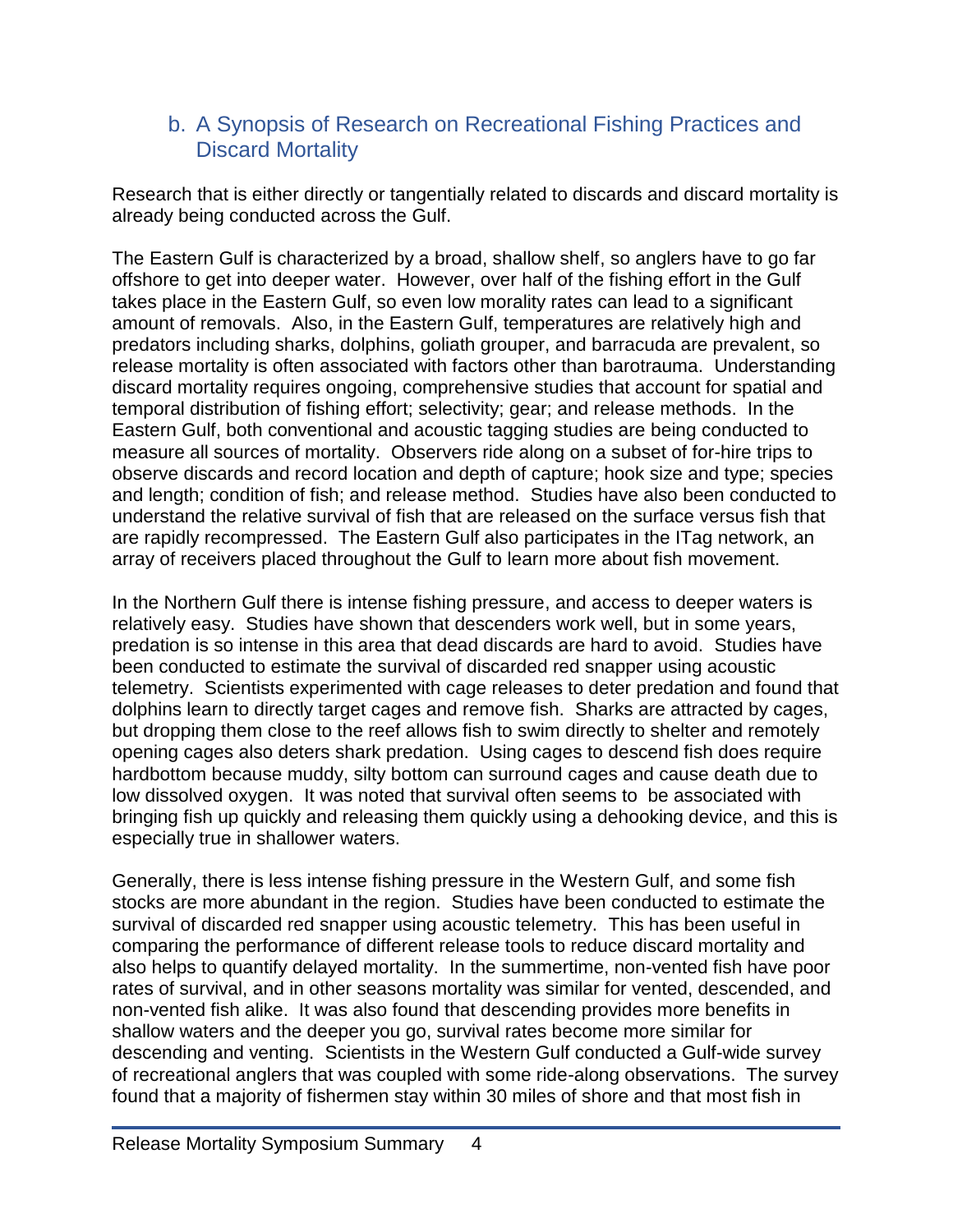### <span id="page-6-0"></span>b. A Synopsis of Research on Recreational Fishing Practices and Discard Mortality

Research that is either directly or tangentially related to discards and discard mortality is already being conducted across the Gulf.

The Eastern Gulf is characterized by a broad, shallow shelf, so anglers have to go far offshore to get into deeper water. However, over half of the fishing effort in the Gulf takes place in the Eastern Gulf, so even low morality rates can lead to a significant amount of removals. Also, in the Eastern Gulf, temperatures are relatively high and predators including sharks, dolphins, goliath grouper, and barracuda are prevalent, so release mortality is often associated with factors other than barotrauma. Understanding discard mortality requires ongoing, comprehensive studies that account for spatial and temporal distribution of fishing effort; selectivity; gear; and release methods. In the Eastern Gulf, both conventional and acoustic tagging studies are being conducted to measure all sources of mortality. Observers ride along on a subset of for-hire trips to observe discards and record location and depth of capture; hook size and type; species and length; condition of fish; and release method. Studies have also been conducted to understand the relative survival of fish that are released on the surface versus fish that are rapidly recompressed. The Eastern Gulf also participates in the ITag network, an array of receivers placed throughout the Gulf to learn more about fish movement.

In the Northern Gulf there is intense fishing pressure, and access to deeper waters is relatively easy. Studies have shown that descenders work well, but in some years, predation is so intense in this area that dead discards are hard to avoid. Studies have been conducted to estimate the survival of discarded red snapper using acoustic telemetry. Scientists experimented with cage releases to deter predation and found that dolphins learn to directly target cages and remove fish. Sharks are attracted by cages, but dropping them close to the reef allows fish to swim directly to shelter and remotely opening cages also deters shark predation. Using cages to descend fish does require hardbottom because muddy, silty bottom can surround cages and cause death due to low dissolved oxygen. It was noted that survival often seems to be associated with bringing fish up quickly and releasing them quickly using a dehooking device, and this is especially true in shallower waters.

Generally, there is less intense fishing pressure in the Western Gulf, and some fish stocks are more abundant in the region. Studies have been conducted to estimate the survival of discarded red snapper using acoustic telemetry. This has been useful in comparing the performance of different release tools to reduce discard mortality and also helps to quantify delayed mortality. In the summertime, non-vented fish have poor rates of survival, and in other seasons mortality was similar for vented, descended, and non-vented fish alike. It was also found that descending provides more benefits in shallow waters and the deeper you go, survival rates become more similar for descending and venting. Scientists in the Western Gulf conducted a Gulf-wide survey of recreational anglers that was coupled with some ride-along observations. The survey found that a majority of fishermen stay within 30 miles of shore and that most fish in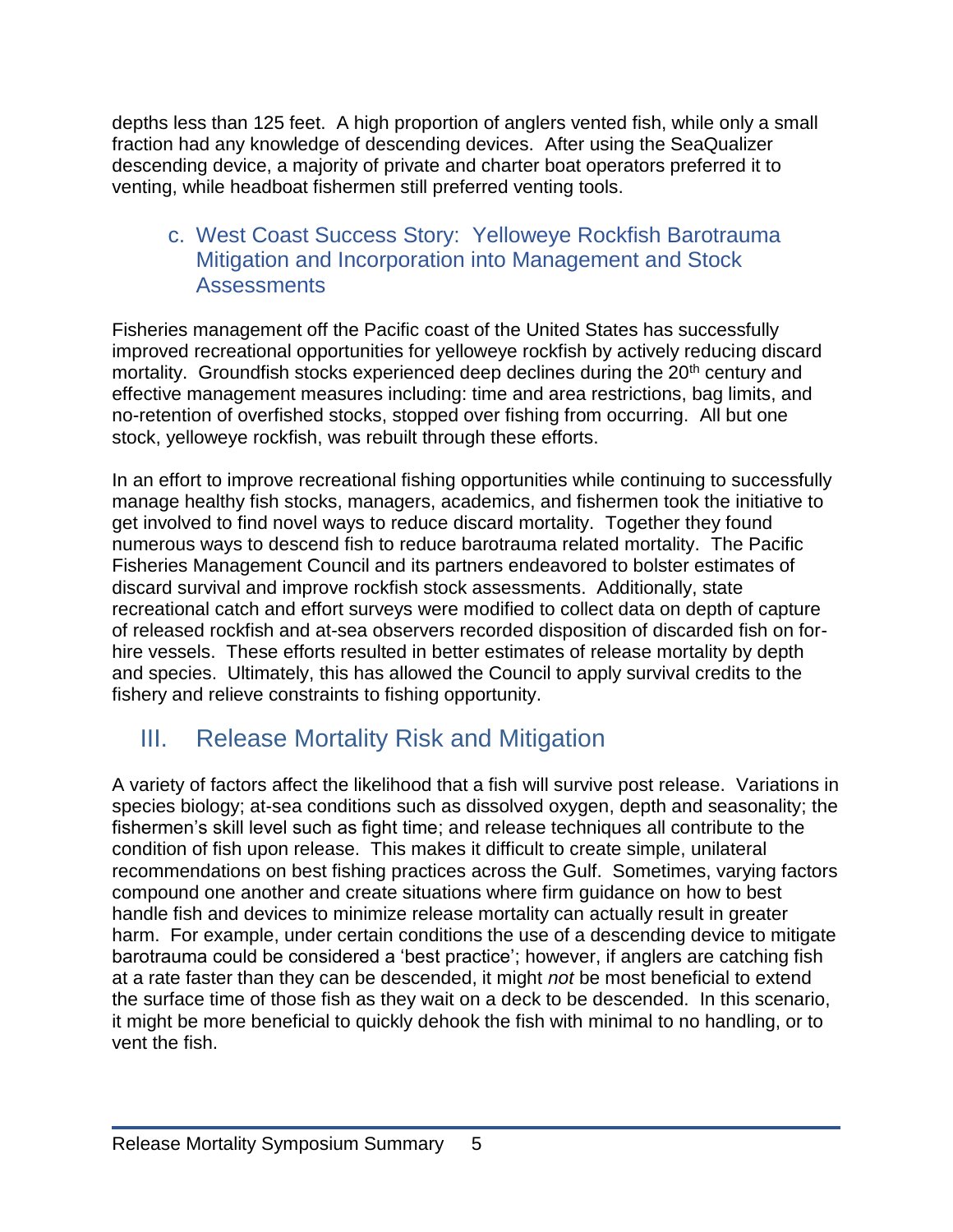depths less than 125 feet. A high proportion of anglers vented fish, while only a small fraction had any knowledge of descending devices. After using the SeaQualizer descending device, a majority of private and charter boat operators preferred it to venting, while headboat fishermen still preferred venting tools.

### <span id="page-7-0"></span>c. West Coast Success Story: Yelloweye Rockfish Barotrauma Mitigation and Incorporation into Management and Stock **Assessments**

Fisheries management off the Pacific coast of the United States has successfully improved recreational opportunities for yelloweye rockfish by actively reducing discard mortality. Groundfish stocks experienced deep declines during the 20<sup>th</sup> century and effective management measures including: time and area restrictions, bag limits, and no-retention of overfished stocks, stopped over fishing from occurring. All but one stock, yelloweye rockfish, was rebuilt through these efforts.

In an effort to improve recreational fishing opportunities while continuing to successfully manage healthy fish stocks, managers, academics, and fishermen took the initiative to get involved to find novel ways to reduce discard mortality. Together they found numerous ways to descend fish to reduce barotrauma related mortality. The Pacific Fisheries Management Council and its partners endeavored to bolster estimates of discard survival and improve rockfish stock assessments. Additionally, state recreational catch and effort surveys were modified to collect data on depth of capture of released rockfish and at-sea observers recorded disposition of discarded fish on forhire vessels. These efforts resulted in better estimates of release mortality by depth and species. Ultimately, this has allowed the Council to apply survival credits to the fishery and relieve constraints to fishing opportunity.

# <span id="page-7-1"></span>III. Release Mortality Risk and Mitigation

A variety of factors affect the likelihood that a fish will survive post release. Variations in species biology; at-sea conditions such as dissolved oxygen, depth and seasonality; the fishermen's skill level such as fight time; and release techniques all contribute to the condition of fish upon release. This makes it difficult to create simple, unilateral recommendations on best fishing practices across the Gulf. Sometimes, varying factors compound one another and create situations where firm guidance on how to best handle fish and devices to minimize release mortality can actually result in greater harm. For example, under certain conditions the use of a descending device to mitigate barotrauma could be considered a 'best practice'; however, if anglers are catching fish at a rate faster than they can be descended, it might *not* be most beneficial to extend the surface time of those fish as they wait on a deck to be descended. In this scenario, it might be more beneficial to quickly dehook the fish with minimal to no handling, or to vent the fish.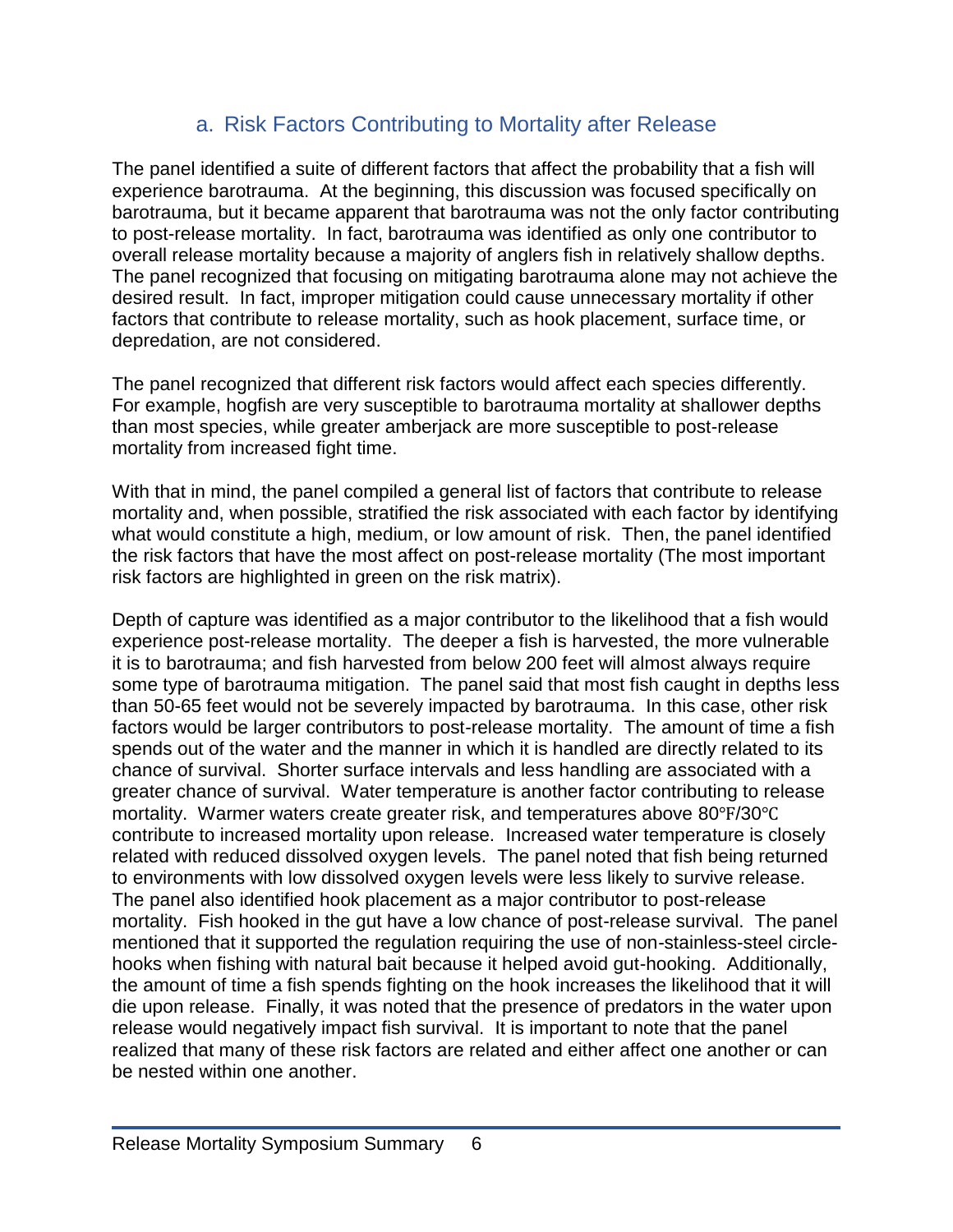## a. Risk Factors Contributing to Mortality after Release

<span id="page-8-0"></span>The panel identified a suite of different factors that affect the probability that a fish will experience barotrauma. At the beginning, this discussion was focused specifically on barotrauma, but it became apparent that barotrauma was not the only factor contributing to post-release mortality. In fact, barotrauma was identified as only one contributor to overall release mortality because a majority of anglers fish in relatively shallow depths. The panel recognized that focusing on mitigating barotrauma alone may not achieve the desired result. In fact, improper mitigation could cause unnecessary mortality if other factors that contribute to release mortality, such as hook placement, surface time, or depredation, are not considered.

The panel recognized that different risk factors would affect each species differently. For example, hogfish are very susceptible to barotrauma mortality at shallower depths than most species, while greater amberjack are more susceptible to post-release mortality from increased fight time.

With that in mind, the panel compiled a general list of factors that contribute to release mortality and, when possible, stratified the risk associated with each factor by identifying what would constitute a high, medium, or low amount of risk. Then, the panel identified the risk factors that have the most affect on post-release mortality (The most important risk factors are highlighted in green on the risk matrix).

Depth of capture was identified as a major contributor to the likelihood that a fish would experience post-release mortality. The deeper a fish is harvested, the more vulnerable it is to barotrauma; and fish harvested from below 200 feet will almost always require some type of barotrauma mitigation. The panel said that most fish caught in depths less than 50-65 feet would not be severely impacted by barotrauma. In this case, other risk factors would be larger contributors to post-release mortality. The amount of time a fish spends out of the water and the manner in which it is handled are directly related to its chance of survival. Shorter surface intervals and less handling are associated with a greater chance of survival. Water temperature is another factor contributing to release mortality. Warmer waters create greater risk, and temperatures above 80℉/30℃ contribute to increased mortality upon release. Increased water temperature is closely related with reduced dissolved oxygen levels. The panel noted that fish being returned to environments with low dissolved oxygen levels were less likely to survive release. The panel also identified hook placement as a major contributor to post-release mortality. Fish hooked in the gut have a low chance of post-release survival. The panel mentioned that it supported the regulation requiring the use of non-stainless-steel circlehooks when fishing with natural bait because it helped avoid gut-hooking. Additionally, the amount of time a fish spends fighting on the hook increases the likelihood that it will die upon release. Finally, it was noted that the presence of predators in the water upon release would negatively impact fish survival. It is important to note that the panel realized that many of these risk factors are related and either affect one another or can be nested within one another.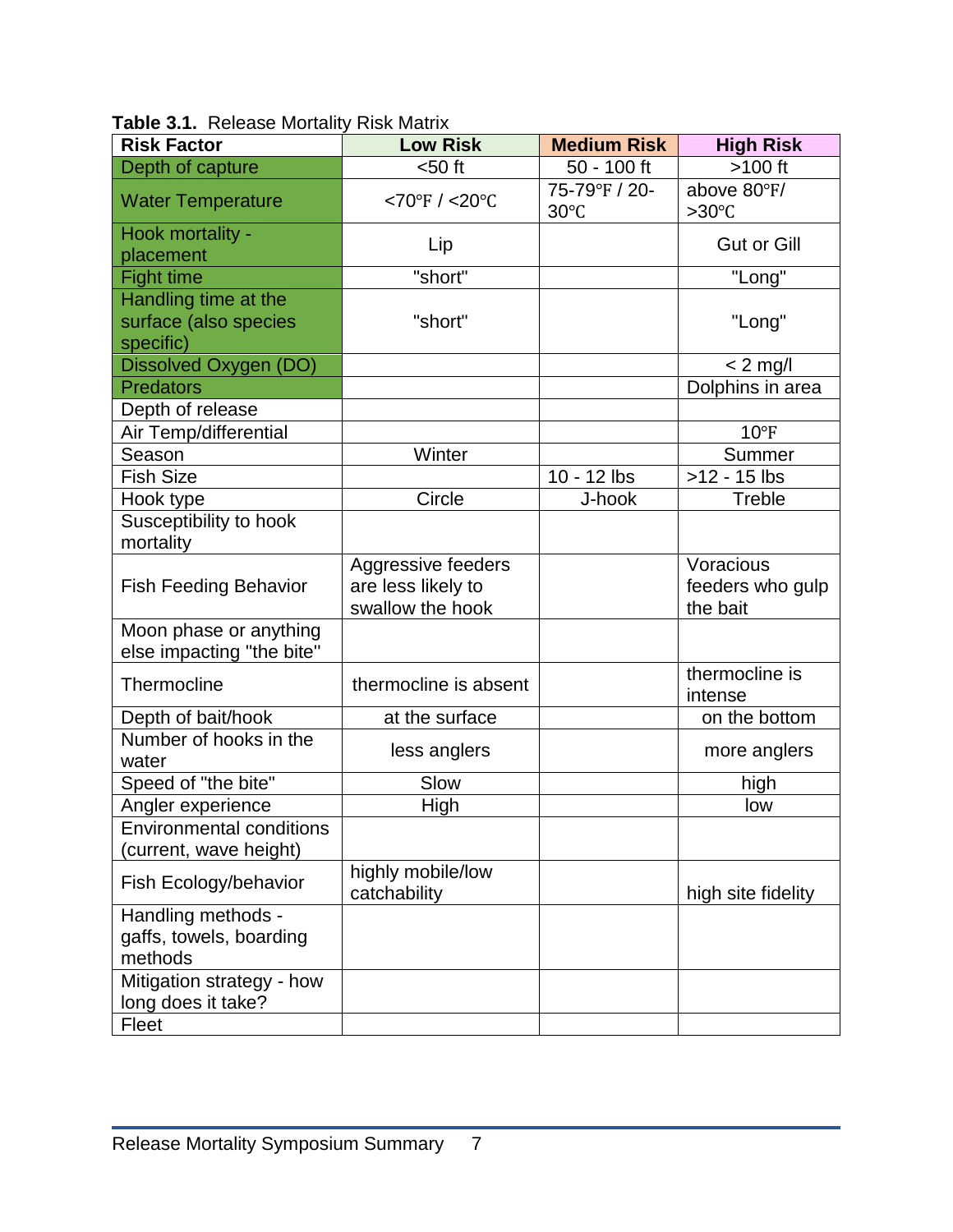| <b>Risk Factor</b>                                         | <b>Low Risk</b>                                              | <b>Medium Risk</b>              | <b>High Risk</b>                          |
|------------------------------------------------------------|--------------------------------------------------------------|---------------------------------|-------------------------------------------|
| Depth of capture                                           | $50$ ft                                                      | 50 - 100 ft                     | $>100$ ft                                 |
| <b>Water Temperature</b>                                   | <70°F / <20°C                                                | 75-79°F / 20-<br>$30^{\circ}$ C | above 80°F/<br>$>30^{\circ}$ C            |
| Hook mortality -<br>placement                              | Lip                                                          |                                 | <b>Gut or Gill</b>                        |
| <b>Fight time</b>                                          | "short"                                                      |                                 | "Long"                                    |
| Handling time at the<br>surface (also species<br>specific) | "short"                                                      |                                 | "Long"                                    |
| Dissolved Oxygen (DO)                                      |                                                              |                                 | $< 2$ mg/l                                |
| <b>Predators</b>                                           |                                                              |                                 | Dolphins in area                          |
| Depth of release                                           |                                                              |                                 |                                           |
| Air Temp/differential                                      |                                                              |                                 | $10^{\circ}F$                             |
| Season                                                     | Winter                                                       |                                 | Summer                                    |
| <b>Fish Size</b>                                           |                                                              | 10 - 12 lbs                     | $>12 - 15$ lbs                            |
| Hook type                                                  | Circle                                                       | J-hook                          | Treble                                    |
| Susceptibility to hook<br>mortality                        |                                                              |                                 |                                           |
| <b>Fish Feeding Behavior</b>                               | Aggressive feeders<br>are less likely to<br>swallow the hook |                                 | Voracious<br>feeders who gulp<br>the bait |
| Moon phase or anything<br>else impacting "the bite"        |                                                              |                                 |                                           |
| Thermocline                                                | thermocline is absent                                        |                                 | thermocline is<br>intense                 |
| Depth of bait/hook                                         | at the surface                                               |                                 | on the bottom                             |
| Number of hooks in the<br>water                            | less anglers                                                 |                                 | more anglers                              |
| Speed of "the bite"                                        | Slow                                                         |                                 | high                                      |
| Angler experience                                          | High                                                         |                                 | low                                       |
| <b>Environmental conditions</b><br>(current, wave height)  |                                                              |                                 |                                           |
| Fish Ecology/behavior                                      | highly mobile/low<br>catchability                            |                                 | high site fidelity                        |
| Handling methods -<br>gaffs, towels, boarding<br>methods   |                                                              |                                 |                                           |
| Mitigation strategy - how<br>long does it take?            |                                                              |                                 |                                           |
| Fleet                                                      |                                                              |                                 |                                           |

<span id="page-9-0"></span>**Table 3.1.** Release Mortality Risk Matrix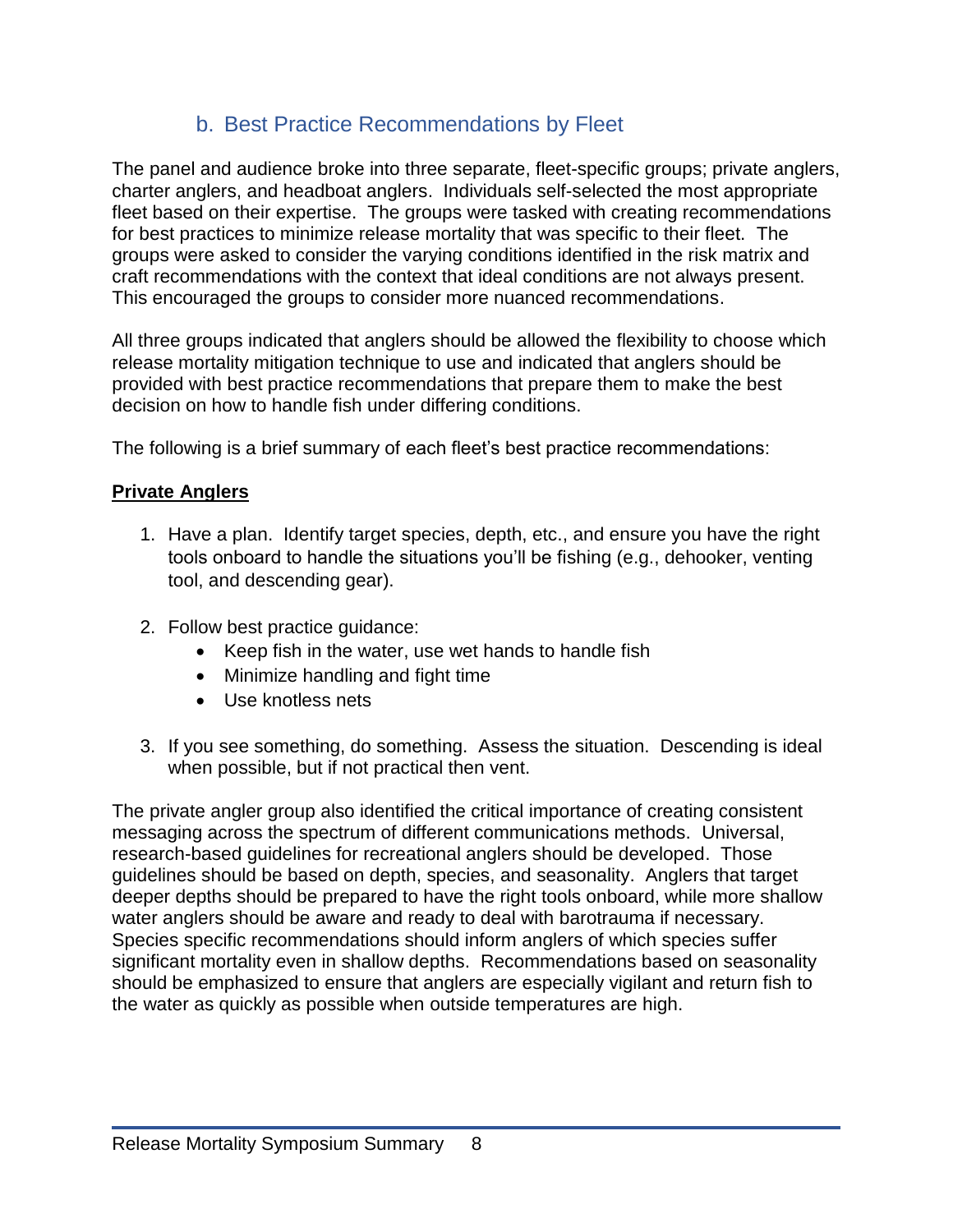## b. Best Practice Recommendations by Fleet

<span id="page-10-0"></span>The panel and audience broke into three separate, fleet-specific groups; private anglers, charter anglers, and headboat anglers. Individuals self-selected the most appropriate fleet based on their expertise. The groups were tasked with creating recommendations for best practices to minimize release mortality that was specific to their fleet. The groups were asked to consider the varying conditions identified in the risk matrix and craft recommendations with the context that ideal conditions are not always present. This encouraged the groups to consider more nuanced recommendations.

All three groups indicated that anglers should be allowed the flexibility to choose which release mortality mitigation technique to use and indicated that anglers should be provided with best practice recommendations that prepare them to make the best decision on how to handle fish under differing conditions.

The following is a brief summary of each fleet's best practice recommendations:

#### **Private Anglers**

- 1. Have a plan. Identify target species, depth, etc., and ensure you have the right tools onboard to handle the situations you'll be fishing (e.g., dehooker, venting tool, and descending gear).
- 2. Follow best practice guidance:
	- Keep fish in the water, use wet hands to handle fish
	- Minimize handling and fight time
	- Use knotless nets
- 3. If you see something, do something. Assess the situation. Descending is ideal when possible, but if not practical then vent.

The private angler group also identified the critical importance of creating consistent messaging across the spectrum of different communications methods. Universal, research-based guidelines for recreational anglers should be developed. Those guidelines should be based on depth, species, and seasonality. Anglers that target deeper depths should be prepared to have the right tools onboard, while more shallow water anglers should be aware and ready to deal with barotrauma if necessary. Species specific recommendations should inform anglers of which species suffer significant mortality even in shallow depths. Recommendations based on seasonality should be emphasized to ensure that anglers are especially vigilant and return fish to the water as quickly as possible when outside temperatures are high.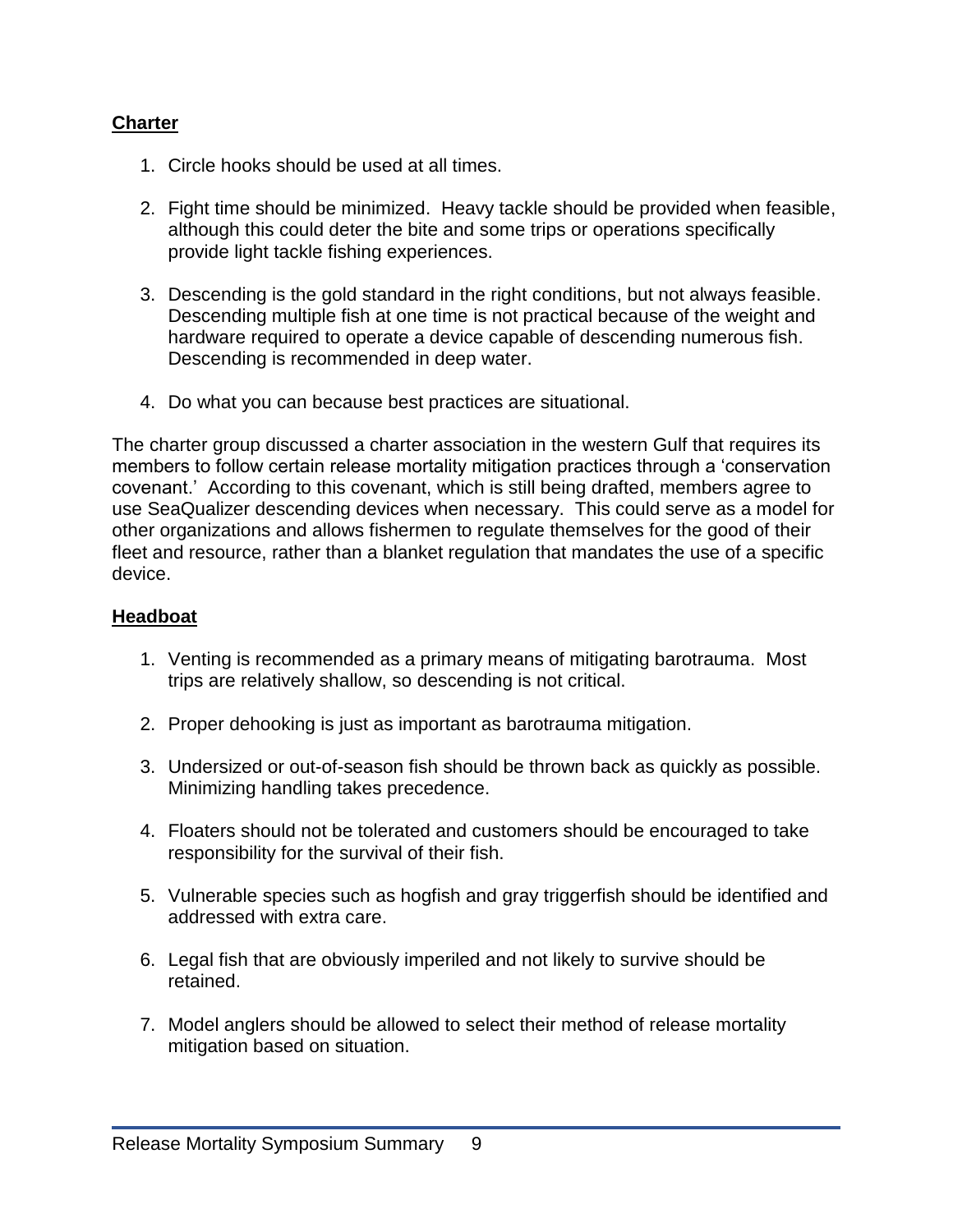#### **Charter**

- 1. Circle hooks should be used at all times.
- 2. Fight time should be minimized. Heavy tackle should be provided when feasible, although this could deter the bite and some trips or operations specifically provide light tackle fishing experiences.
- 3. Descending is the gold standard in the right conditions, but not always feasible. Descending multiple fish at one time is not practical because of the weight and hardware required to operate a device capable of descending numerous fish. Descending is recommended in deep water.
- 4. Do what you can because best practices are situational.

The charter group discussed a charter association in the western Gulf that requires its members to follow certain release mortality mitigation practices through a 'conservation covenant.' According to this covenant, which is still being drafted, members agree to use SeaQualizer descending devices when necessary. This could serve as a model for other organizations and allows fishermen to regulate themselves for the good of their fleet and resource, rather than a blanket regulation that mandates the use of a specific device.

#### **Headboat**

- 1. Venting is recommended as a primary means of mitigating barotrauma. Most trips are relatively shallow, so descending is not critical.
- 2. Proper dehooking is just as important as barotrauma mitigation.
- 3. Undersized or out-of-season fish should be thrown back as quickly as possible. Minimizing handling takes precedence.
- 4. Floaters should not be tolerated and customers should be encouraged to take responsibility for the survival of their fish.
- 5. Vulnerable species such as hogfish and gray triggerfish should be identified and addressed with extra care.
- 6. Legal fish that are obviously imperiled and not likely to survive should be retained.
- 7. Model anglers should be allowed to select their method of release mortality mitigation based on situation.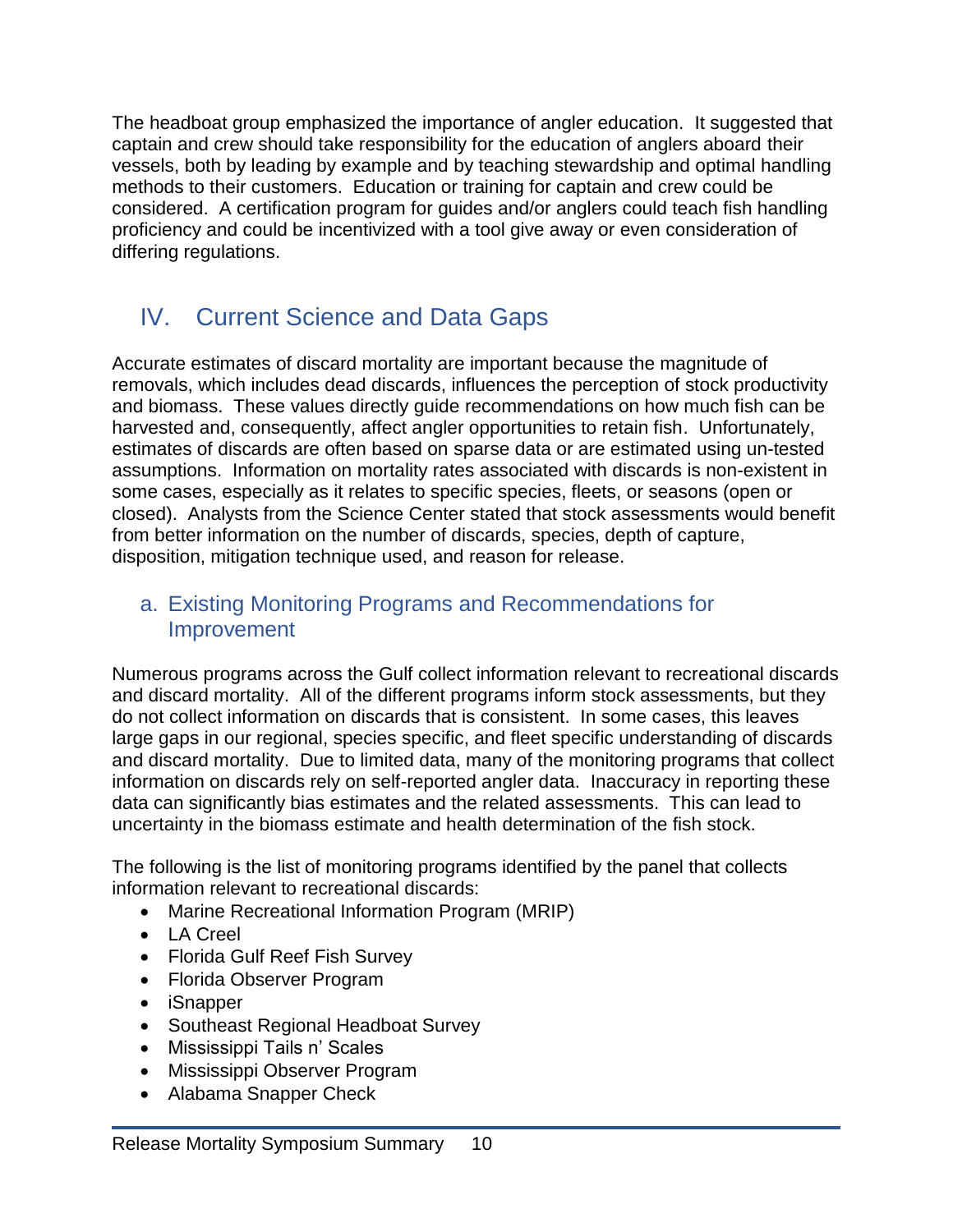The headboat group emphasized the importance of angler education. It suggested that captain and crew should take responsibility for the education of anglers aboard their vessels, both by leading by example and by teaching stewardship and optimal handling methods to their customers. Education or training for captain and crew could be considered. A certification program for guides and/or anglers could teach fish handling proficiency and could be incentivized with a tool give away or even consideration of differing regulations.

# <span id="page-12-0"></span>IV. Current Science and Data Gaps

Accurate estimates of discard mortality are important because the magnitude of removals, which includes dead discards, influences the perception of stock productivity and biomass. These values directly guide recommendations on how much fish can be harvested and, consequently, affect angler opportunities to retain fish. Unfortunately, estimates of discards are often based on sparse data or are estimated using un-tested assumptions. Information on mortality rates associated with discards is non-existent in some cases, especially as it relates to specific species, fleets, or seasons (open or closed). Analysts from the Science Center stated that stock assessments would benefit from better information on the number of discards, species, depth of capture, disposition, mitigation technique used, and reason for release.

### <span id="page-12-1"></span>a. Existing Monitoring Programs and Recommendations for Improvement

Numerous programs across the Gulf collect information relevant to recreational discards and discard mortality. All of the different programs inform stock assessments, but they do not collect information on discards that is consistent. In some cases, this leaves large gaps in our regional, species specific, and fleet specific understanding of discards and discard mortality. Due to limited data, many of the monitoring programs that collect information on discards rely on self-reported angler data. Inaccuracy in reporting these data can significantly bias estimates and the related assessments. This can lead to uncertainty in the biomass estimate and health determination of the fish stock.

The following is the list of monitoring programs identified by the panel that collects information relevant to recreational discards:

- Marine Recreational Information Program (MRIP)
- LA Creel
- Florida Gulf Reef Fish Survey
- Florida Observer Program
- iSnapper
- Southeast Regional Headboat Survey
- Mississippi Tails n' Scales
- Mississippi Observer Program
- Alabama Snapper Check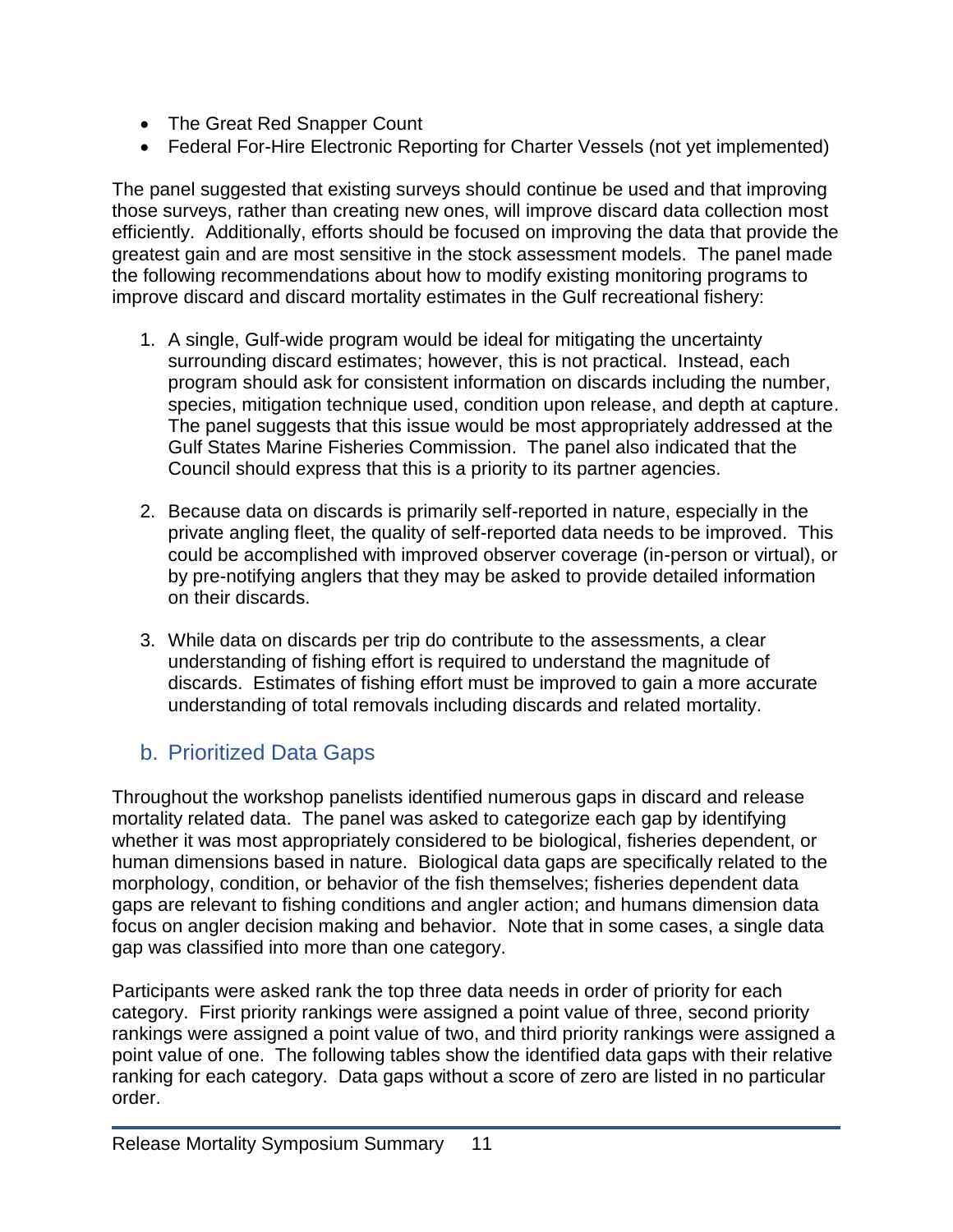- The Great Red Snapper Count
- Federal For-Hire Electronic Reporting for Charter Vessels (not yet implemented)

The panel suggested that existing surveys should continue be used and that improving those surveys, rather than creating new ones, will improve discard data collection most efficiently. Additionally, efforts should be focused on improving the data that provide the greatest gain and are most sensitive in the stock assessment models. The panel made the following recommendations about how to modify existing monitoring programs to improve discard and discard mortality estimates in the Gulf recreational fishery:

- 1. A single, Gulf-wide program would be ideal for mitigating the uncertainty surrounding discard estimates; however, this is not practical. Instead, each program should ask for consistent information on discards including the number, species, mitigation technique used, condition upon release, and depth at capture. The panel suggests that this issue would be most appropriately addressed at the Gulf States Marine Fisheries Commission. The panel also indicated that the Council should express that this is a priority to its partner agencies.
- 2. Because data on discards is primarily self-reported in nature, especially in the private angling fleet, the quality of self-reported data needs to be improved. This could be accomplished with improved observer coverage (in-person or virtual), or by pre-notifying anglers that they may be asked to provide detailed information on their discards.
- 3. While data on discards per trip do contribute to the assessments, a clear understanding of fishing effort is required to understand the magnitude of discards. Estimates of fishing effort must be improved to gain a more accurate understanding of total removals including discards and related mortality.

## <span id="page-13-0"></span>b. Prioritized Data Gaps

Throughout the workshop panelists identified numerous gaps in discard and release mortality related data. The panel was asked to categorize each gap by identifying whether it was most appropriately considered to be biological, fisheries dependent, or human dimensions based in nature. Biological data gaps are specifically related to the morphology, condition, or behavior of the fish themselves; fisheries dependent data gaps are relevant to fishing conditions and angler action; and humans dimension data focus on angler decision making and behavior. Note that in some cases, a single data gap was classified into more than one category.

Participants were asked rank the top three data needs in order of priority for each category. First priority rankings were assigned a point value of three, second priority rankings were assigned a point value of two, and third priority rankings were assigned a point value of one. The following tables show the identified data gaps with their relative ranking for each category. Data gaps without a score of zero are listed in no particular order.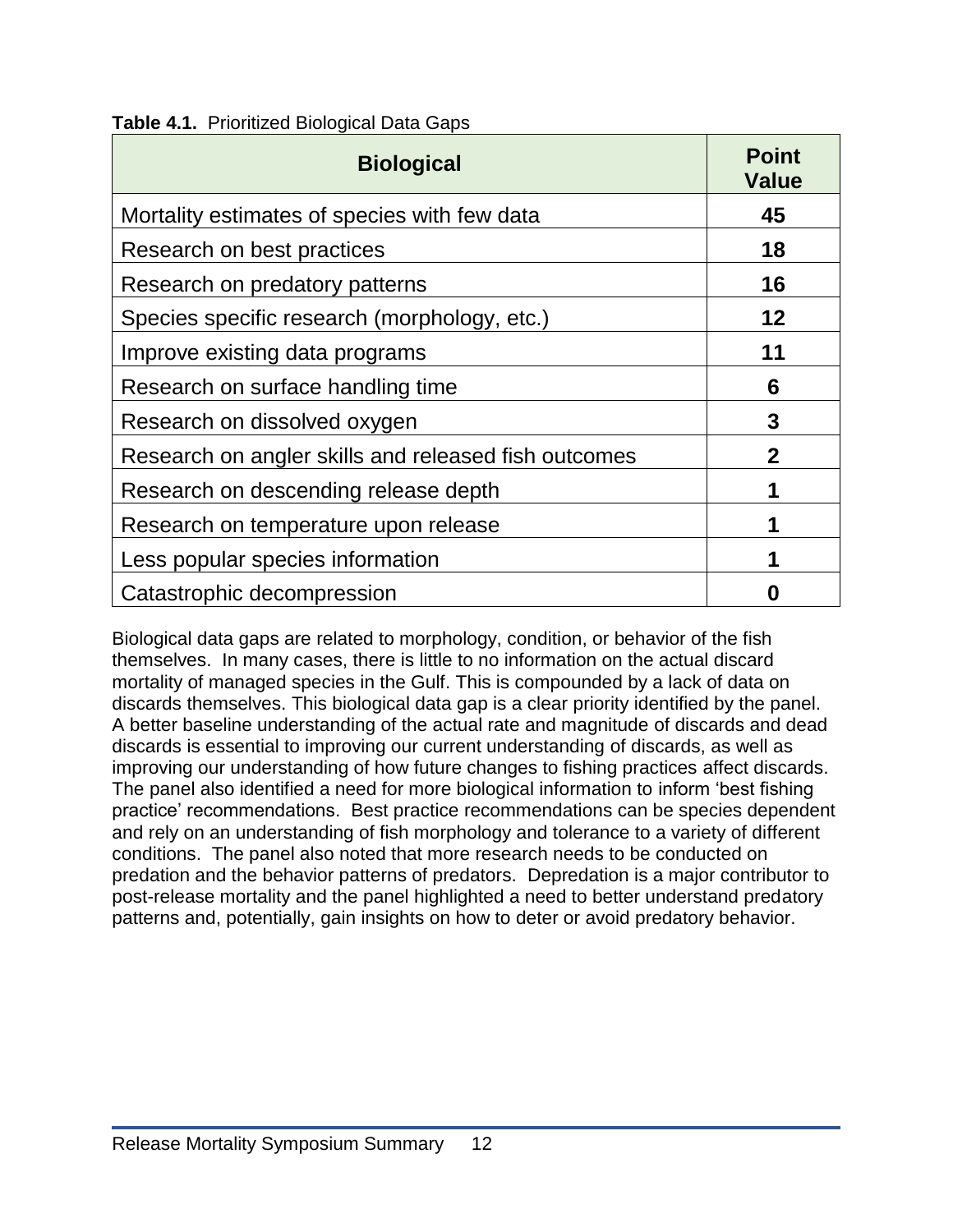<span id="page-14-0"></span>

|  | <b>Table 4.1. Prioritized Biological Data Gaps</b> |  |
|--|----------------------------------------------------|--|
|--|----------------------------------------------------|--|

| <b>Biological</b>                                    | <b>Point</b><br><b>Value</b> |
|------------------------------------------------------|------------------------------|
| Mortality estimates of species with few data         | 45                           |
| Research on best practices                           | 18                           |
| Research on predatory patterns                       | 16                           |
| Species specific research (morphology, etc.)         | 12                           |
| Improve existing data programs                       | 11                           |
| Research on surface handling time                    | 6                            |
| Research on dissolved oxygen                         | 3                            |
| Research on angler skills and released fish outcomes | $\mathbf 2$                  |
| Research on descending release depth                 | 1                            |
| Research on temperature upon release                 |                              |
| Less popular species information                     |                              |
| Catastrophic decompression                           |                              |

Biological data gaps are related to morphology, condition, or behavior of the fish themselves. In many cases, there is little to no information on the actual discard mortality of managed species in the Gulf. This is compounded by a lack of data on discards themselves. This biological data gap is a clear priority identified by the panel. A better baseline understanding of the actual rate and magnitude of discards and dead discards is essential to improving our current understanding of discards, as well as improving our understanding of how future changes to fishing practices affect discards. The panel also identified a need for more biological information to inform 'best fishing practice' recommendations. Best practice recommendations can be species dependent and rely on an understanding of fish morphology and tolerance to a variety of different conditions. The panel also noted that more research needs to be conducted on predation and the behavior patterns of predators. Depredation is a major contributor to post-release mortality and the panel highlighted a need to better understand predatory patterns and, potentially, gain insights on how to deter or avoid predatory behavior.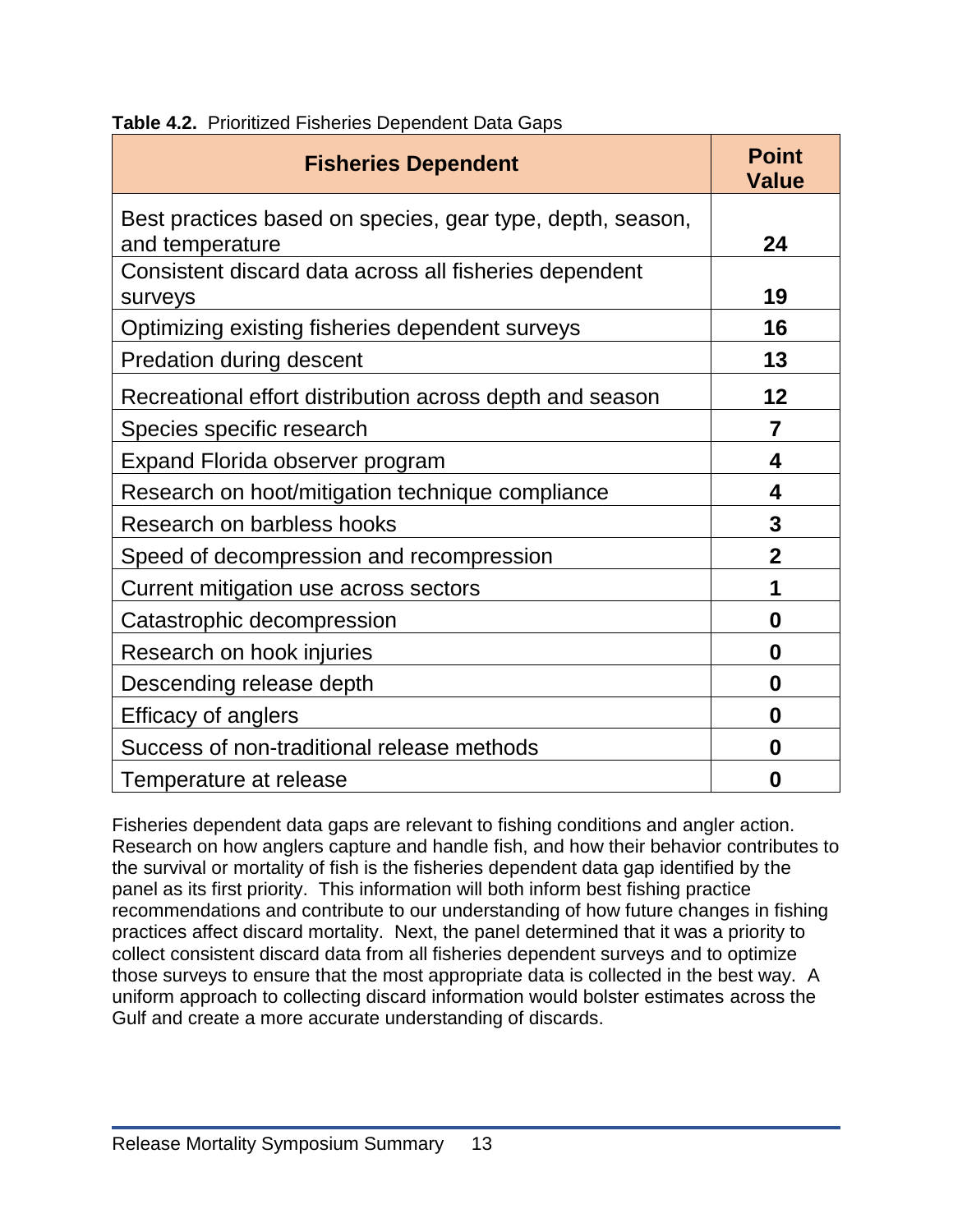<span id="page-15-0"></span>

| <b>Table 4.2.</b> Prioritized Fisheries Dependent Data Gaps |  |  |  |  |  |
|-------------------------------------------------------------|--|--|--|--|--|
|-------------------------------------------------------------|--|--|--|--|--|

| <b>Fisheries Dependent</b>                                                    | <b>Point</b><br><b>Value</b> |
|-------------------------------------------------------------------------------|------------------------------|
| Best practices based on species, gear type, depth, season,<br>and temperature | 24                           |
| Consistent discard data across all fisheries dependent<br>surveys             | 19                           |
| Optimizing existing fisheries dependent surveys                               | 16                           |
| <b>Predation during descent</b>                                               | 13                           |
| Recreational effort distribution across depth and season                      | 12                           |
| Species specific research                                                     | 7                            |
| Expand Florida observer program                                               | 4                            |
| Research on hoot/mitigation technique compliance                              | 4                            |
| Research on barbless hooks                                                    | 3                            |
| Speed of decompression and recompression                                      | $\overline{2}$               |
| Current mitigation use across sectors                                         | 1                            |
| Catastrophic decompression                                                    | 0                            |
| Research on hook injuries                                                     | 0                            |
| Descending release depth                                                      | 0                            |
| <b>Efficacy of anglers</b>                                                    | 0                            |
| Success of non-traditional release methods                                    | 0                            |
| Temperature at release                                                        | 0                            |

Fisheries dependent data gaps are relevant to fishing conditions and angler action. Research on how anglers capture and handle fish, and how their behavior contributes to the survival or mortality of fish is the fisheries dependent data gap identified by the panel as its first priority. This information will both inform best fishing practice recommendations and contribute to our understanding of how future changes in fishing practices affect discard mortality. Next, the panel determined that it was a priority to collect consistent discard data from all fisheries dependent surveys and to optimize those surveys to ensure that the most appropriate data is collected in the best way. A uniform approach to collecting discard information would bolster estimates across the Gulf and create a more accurate understanding of discards.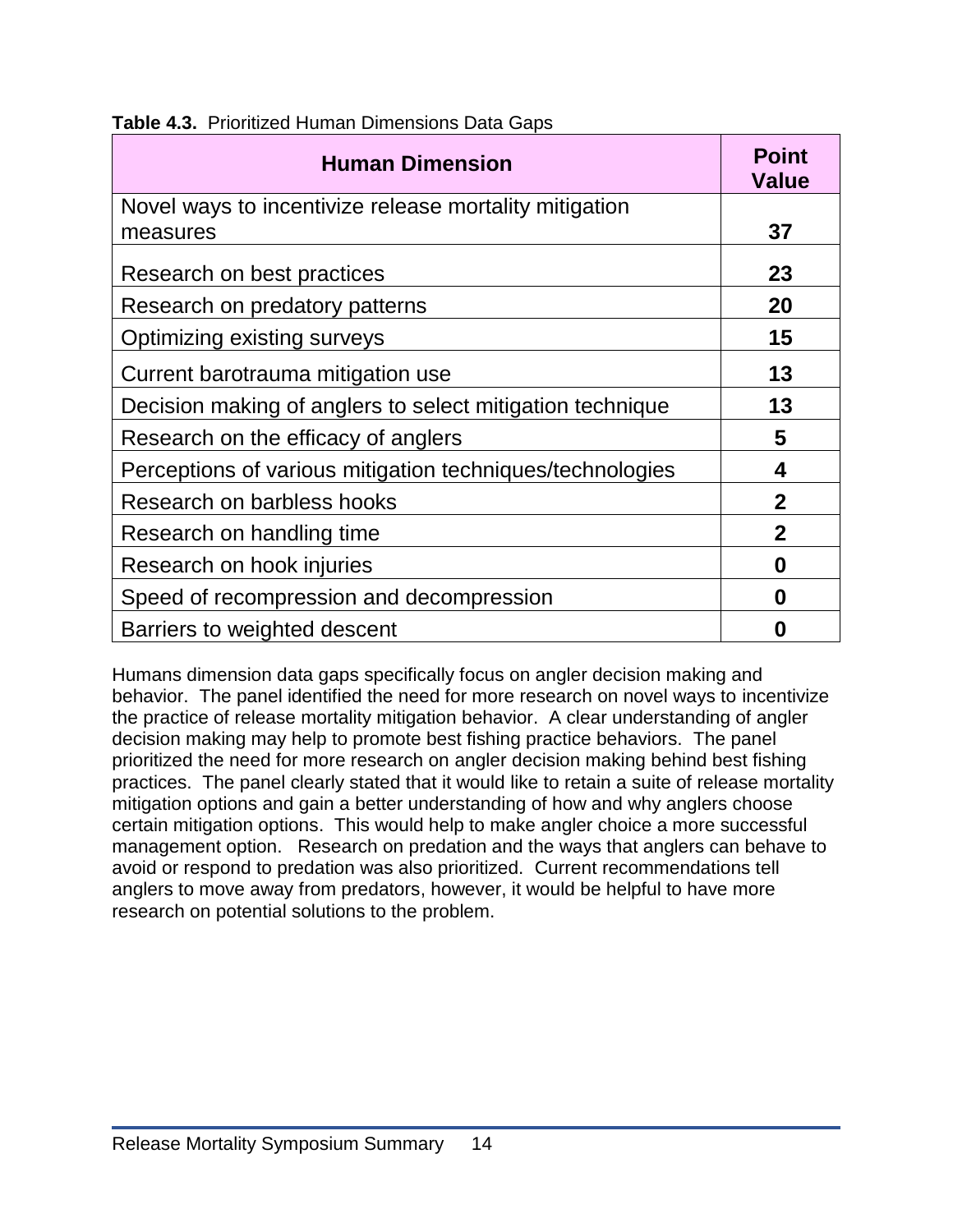| <b>Human Dimension</b>                                    | <b>Point</b><br><b>Value</b> |
|-----------------------------------------------------------|------------------------------|
| Novel ways to incentivize release mortality mitigation    |                              |
| measures                                                  | 37                           |
| Research on best practices                                | 23                           |
| Research on predatory patterns                            | 20                           |
| Optimizing existing surveys                               | 15                           |
| Current barotrauma mitigation use                         | 13                           |
| Decision making of anglers to select mitigation technique | 13                           |
| Research on the efficacy of anglers                       | 5                            |
| Perceptions of various mitigation techniques/technologies | 4                            |
| Research on barbless hooks                                | $\mathbf 2$                  |
| Research on handling time                                 | $\mathbf 2$                  |
| Research on hook injuries                                 | 0                            |
| Speed of recompression and decompression                  | 0                            |
| Barriers to weighted descent                              | 0                            |

<span id="page-16-0"></span>**Table 4.3.** Prioritized Human Dimensions Data Gaps

Humans dimension data gaps specifically focus on angler decision making and behavior. The panel identified the need for more research on novel ways to incentivize the practice of release mortality mitigation behavior. A clear understanding of angler decision making may help to promote best fishing practice behaviors. The panel prioritized the need for more research on angler decision making behind best fishing practices. The panel clearly stated that it would like to retain a suite of release mortality mitigation options and gain a better understanding of how and why anglers choose certain mitigation options. This would help to make angler choice a more successful management option. Research on predation and the ways that anglers can behave to avoid or respond to predation was also prioritized. Current recommendations tell anglers to move away from predators, however, it would be helpful to have more research on potential solutions to the problem.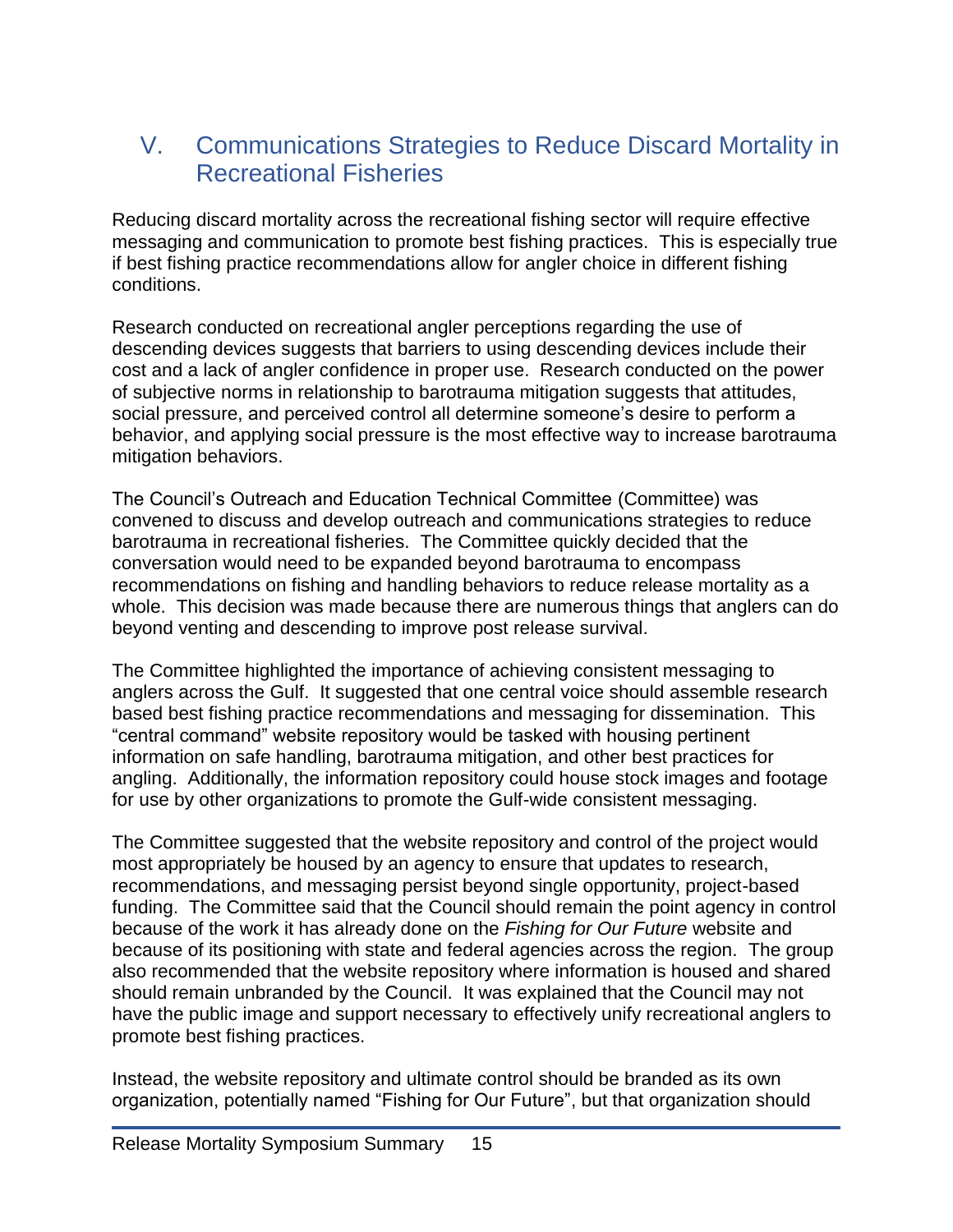## <span id="page-17-0"></span>V. Communications Strategies to Reduce Discard Mortality in Recreational Fisheries

Reducing discard mortality across the recreational fishing sector will require effective messaging and communication to promote best fishing practices. This is especially true if best fishing practice recommendations allow for angler choice in different fishing conditions.

Research conducted on recreational angler perceptions regarding the use of descending devices suggests that barriers to using descending devices include their cost and a lack of angler confidence in proper use. Research conducted on the power of subjective norms in relationship to barotrauma mitigation suggests that attitudes, social pressure, and perceived control all determine someone's desire to perform a behavior, and applying social pressure is the most effective way to increase barotrauma mitigation behaviors.

The Council's Outreach and Education Technical Committee (Committee) was convened to discuss and develop outreach and communications strategies to reduce barotrauma in recreational fisheries. The Committee quickly decided that the conversation would need to be expanded beyond barotrauma to encompass recommendations on fishing and handling behaviors to reduce release mortality as a whole. This decision was made because there are numerous things that anglers can do beyond venting and descending to improve post release survival.

The Committee highlighted the importance of achieving consistent messaging to anglers across the Gulf. It suggested that one central voice should assemble research based best fishing practice recommendations and messaging for dissemination. This "central command" website repository would be tasked with housing pertinent information on safe handling, barotrauma mitigation, and other best practices for angling. Additionally, the information repository could house stock images and footage for use by other organizations to promote the Gulf-wide consistent messaging.

The Committee suggested that the website repository and control of the project would most appropriately be housed by an agency to ensure that updates to research, recommendations, and messaging persist beyond single opportunity, project-based funding. The Committee said that the Council should remain the point agency in control because of the work it has already done on the *Fishing for Our Future* website and because of its positioning with state and federal agencies across the region. The group also recommended that the website repository where information is housed and shared should remain unbranded by the Council. It was explained that the Council may not have the public image and support necessary to effectively unify recreational anglers to promote best fishing practices.

Instead, the website repository and ultimate control should be branded as its own organization, potentially named "Fishing for Our Future", but that organization should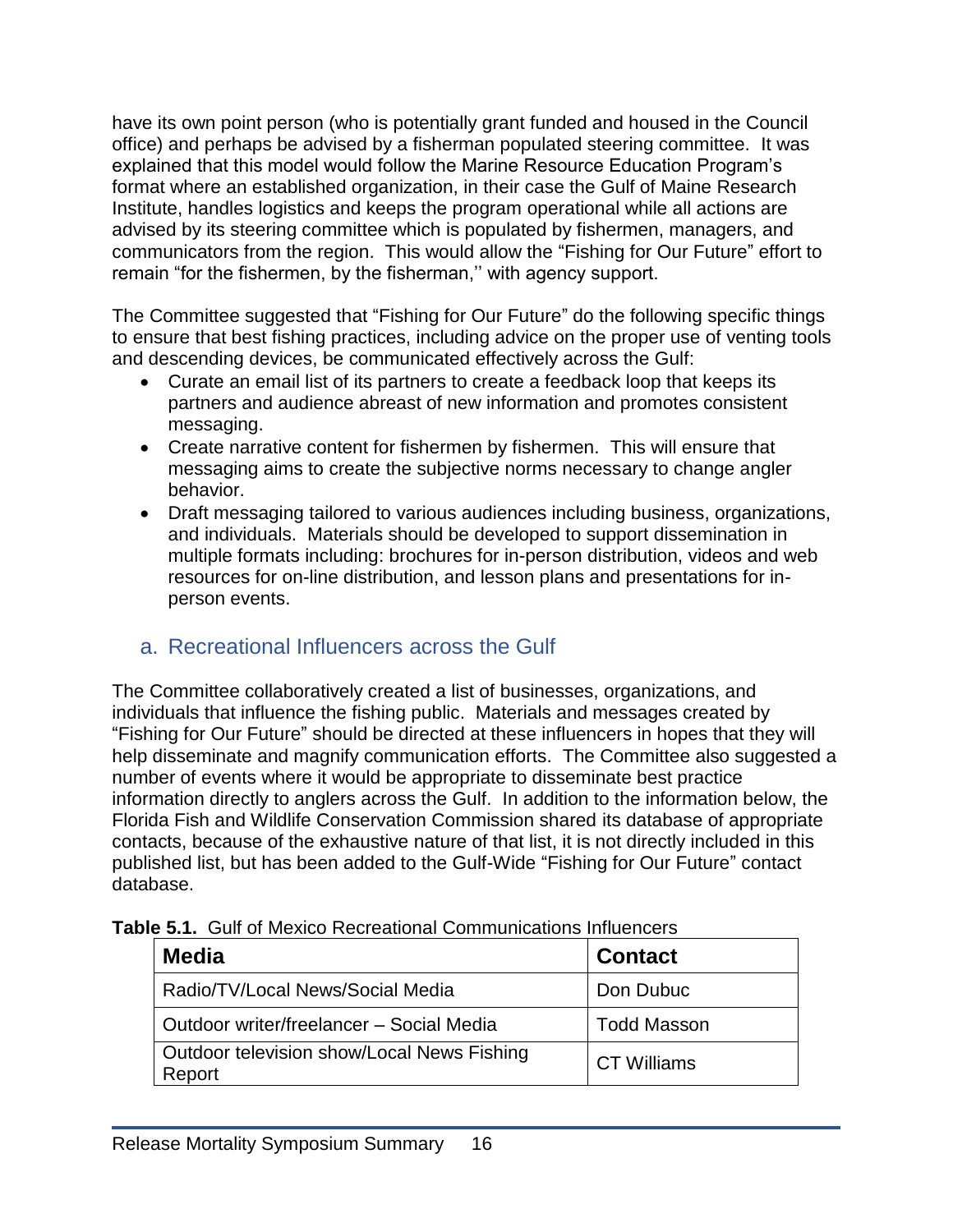have its own point person (who is potentially grant funded and housed in the Council office) and perhaps be advised by a fisherman populated steering committee. It was explained that this model would follow the Marine Resource Education Program's format where an established organization, in their case the Gulf of Maine Research Institute, handles logistics and keeps the program operational while all actions are advised by its steering committee which is populated by fishermen, managers, and communicators from the region. This would allow the "Fishing for Our Future" effort to remain "for the fishermen, by the fisherman,'' with agency support.

The Committee suggested that "Fishing for Our Future" do the following specific things to ensure that best fishing practices, including advice on the proper use of venting tools and descending devices, be communicated effectively across the Gulf:

- Curate an email list of its partners to create a feedback loop that keeps its partners and audience abreast of new information and promotes consistent messaging.
- Create narrative content for fishermen by fishermen. This will ensure that messaging aims to create the subjective norms necessary to change angler behavior.
- Draft messaging tailored to various audiences including business, organizations, and individuals. Materials should be developed to support dissemination in multiple formats including: brochures for in-person distribution, videos and web resources for on-line distribution, and lesson plans and presentations for inperson events.

## <span id="page-18-0"></span>a. Recreational Influencers across the Gulf

The Committee collaboratively created a list of businesses, organizations, and individuals that influence the fishing public. Materials and messages created by "Fishing for Our Future" should be directed at these influencers in hopes that they will help disseminate and magnify communication efforts. The Committee also suggested a number of events where it would be appropriate to disseminate best practice information directly to anglers across the Gulf. In addition to the information below, the Florida Fish and Wildlife Conservation Commission shared its database of appropriate contacts, because of the exhaustive nature of that list, it is not directly included in this published list, but has been added to the Gulf-Wide "Fishing for Our Future" contact database.

| <b>Media</b>                                         | <b>Contact</b>     |
|------------------------------------------------------|--------------------|
| Radio/TV/Local News/Social Media                     | Don Dubuc          |
| Outdoor writer/freelancer - Social Media             | <b>Todd Masson</b> |
| Outdoor television show/Local News Fishing<br>Report | <b>CT Williams</b> |

<span id="page-18-1"></span>

|  |  |  | <b>Table 5.1.</b> Gulf of Mexico Recreational Communications Influencers |  |
|--|--|--|--------------------------------------------------------------------------|--|
|--|--|--|--------------------------------------------------------------------------|--|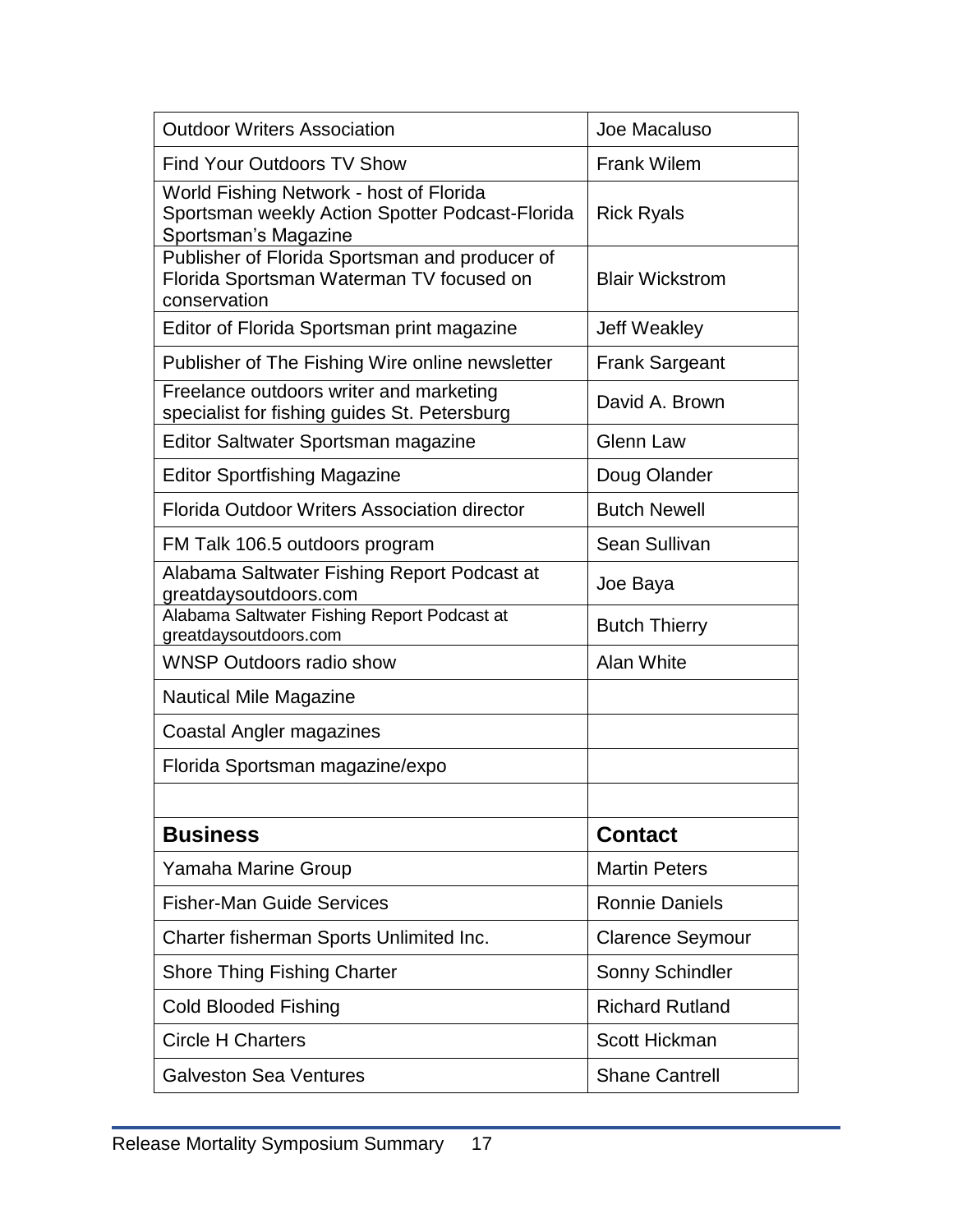| <b>Outdoor Writers Association</b>                                                                                 | Joe Macaluso            |
|--------------------------------------------------------------------------------------------------------------------|-------------------------|
| <b>Find Your Outdoors TV Show</b>                                                                                  | <b>Frank Wilem</b>      |
| World Fishing Network - host of Florida<br>Sportsman weekly Action Spotter Podcast-Florida<br>Sportsman's Magazine | <b>Rick Ryals</b>       |
| Publisher of Florida Sportsman and producer of<br>Florida Sportsman Waterman TV focused on<br>conservation         | <b>Blair Wickstrom</b>  |
| Editor of Florida Sportsman print magazine                                                                         | <b>Jeff Weakley</b>     |
| Publisher of The Fishing Wire online newsletter                                                                    | <b>Frank Sargeant</b>   |
| Freelance outdoors writer and marketing<br>specialist for fishing guides St. Petersburg                            | David A. Brown          |
| Editor Saltwater Sportsman magazine                                                                                | <b>Glenn Law</b>        |
| <b>Editor Sportfishing Magazine</b>                                                                                | Doug Olander            |
| Florida Outdoor Writers Association director                                                                       | <b>Butch Newell</b>     |
| FM Talk 106.5 outdoors program                                                                                     | Sean Sullivan           |
| Alabama Saltwater Fishing Report Podcast at<br>greatdaysoutdoors.com                                               | Joe Baya                |
| Alabama Saltwater Fishing Report Podcast at<br>greatdaysoutdoors.com                                               | <b>Butch Thierry</b>    |
| <b>WNSP Outdoors radio show</b>                                                                                    | Alan White              |
| Nautical Mile Magazine                                                                                             |                         |
| Coastal Angler magazines                                                                                           |                         |
| Florida Sportsman magazine/expo                                                                                    |                         |
|                                                                                                                    |                         |
| <b>Business</b>                                                                                                    | <b>Contact</b>          |
| Yamaha Marine Group                                                                                                | <b>Martin Peters</b>    |
| <b>Fisher-Man Guide Services</b>                                                                                   | <b>Ronnie Daniels</b>   |
| Charter fisherman Sports Unlimited Inc.                                                                            | <b>Clarence Seymour</b> |
| <b>Shore Thing Fishing Charter</b>                                                                                 | Sonny Schindler         |
| <b>Cold Blooded Fishing</b>                                                                                        | <b>Richard Rutland</b>  |
| <b>Circle H Charters</b>                                                                                           | Scott Hickman           |
| <b>Galveston Sea Ventures</b>                                                                                      | <b>Shane Cantrell</b>   |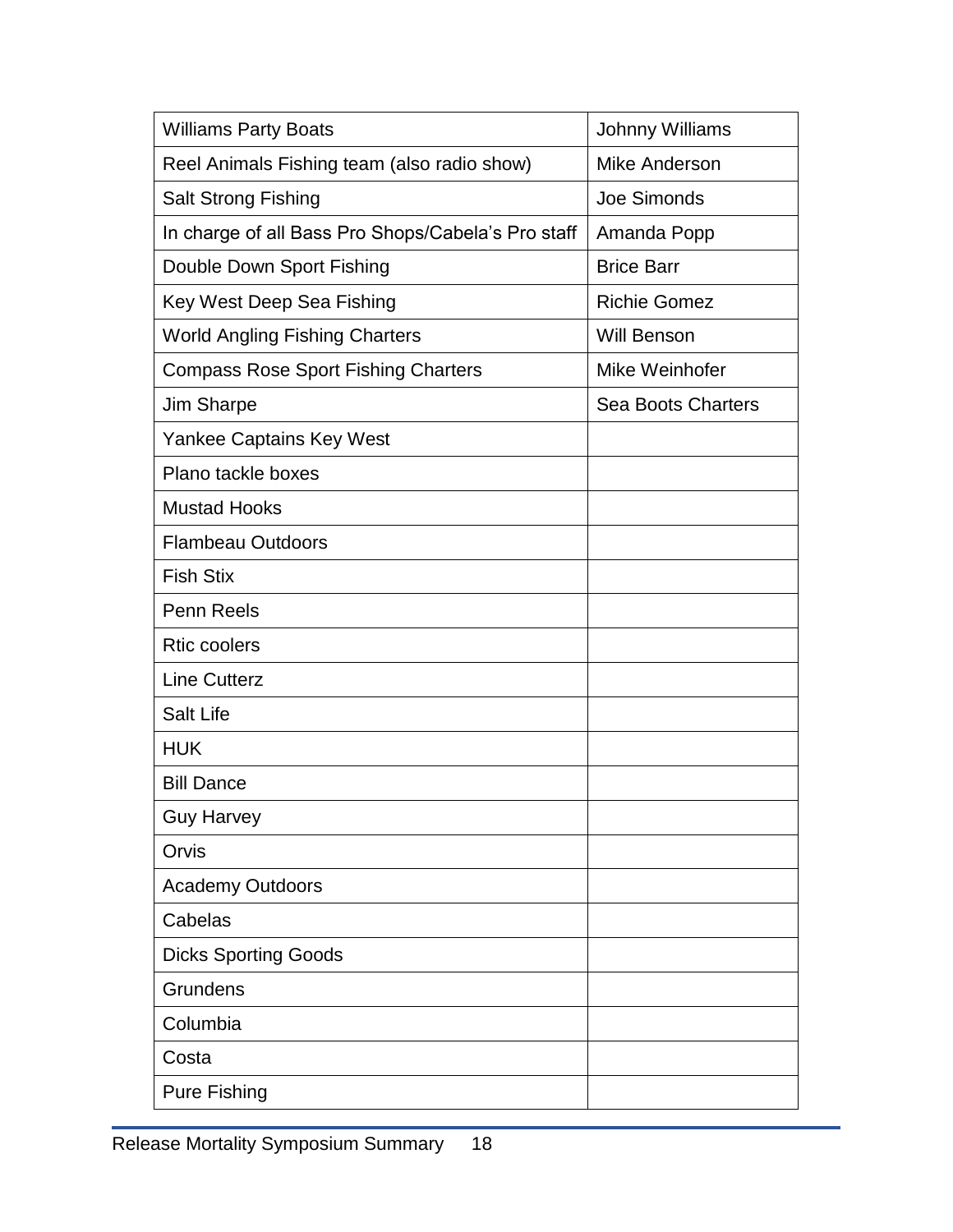| <b>Williams Party Boats</b>                        | <b>Johnny Williams</b>    |
|----------------------------------------------------|---------------------------|
| Reel Animals Fishing team (also radio show)        | <b>Mike Anderson</b>      |
| <b>Salt Strong Fishing</b>                         | Joe Simonds               |
| In charge of all Bass Pro Shops/Cabela's Pro staff | Amanda Popp               |
| Double Down Sport Fishing                          | <b>Brice Barr</b>         |
| Key West Deep Sea Fishing                          | <b>Richie Gomez</b>       |
| <b>World Angling Fishing Charters</b>              | <b>Will Benson</b>        |
| <b>Compass Rose Sport Fishing Charters</b>         | Mike Weinhofer            |
| Jim Sharpe                                         | <b>Sea Boots Charters</b> |
| <b>Yankee Captains Key West</b>                    |                           |
| Plano tackle boxes                                 |                           |
| <b>Mustad Hooks</b>                                |                           |
| <b>Flambeau Outdoors</b>                           |                           |
| <b>Fish Stix</b>                                   |                           |
| Penn Reels                                         |                           |
| <b>Rtic coolers</b>                                |                           |
| <b>Line Cutterz</b>                                |                           |
| <b>Salt Life</b>                                   |                           |
| <b>HUK</b>                                         |                           |
| <b>Bill Dance</b>                                  |                           |
| <b>Guy Harvey</b>                                  |                           |
| Orvis                                              |                           |
| <b>Academy Outdoors</b>                            |                           |
| Cabelas                                            |                           |
| <b>Dicks Sporting Goods</b>                        |                           |
| Grundens                                           |                           |
| Columbia                                           |                           |
| Costa                                              |                           |
| <b>Pure Fishing</b>                                |                           |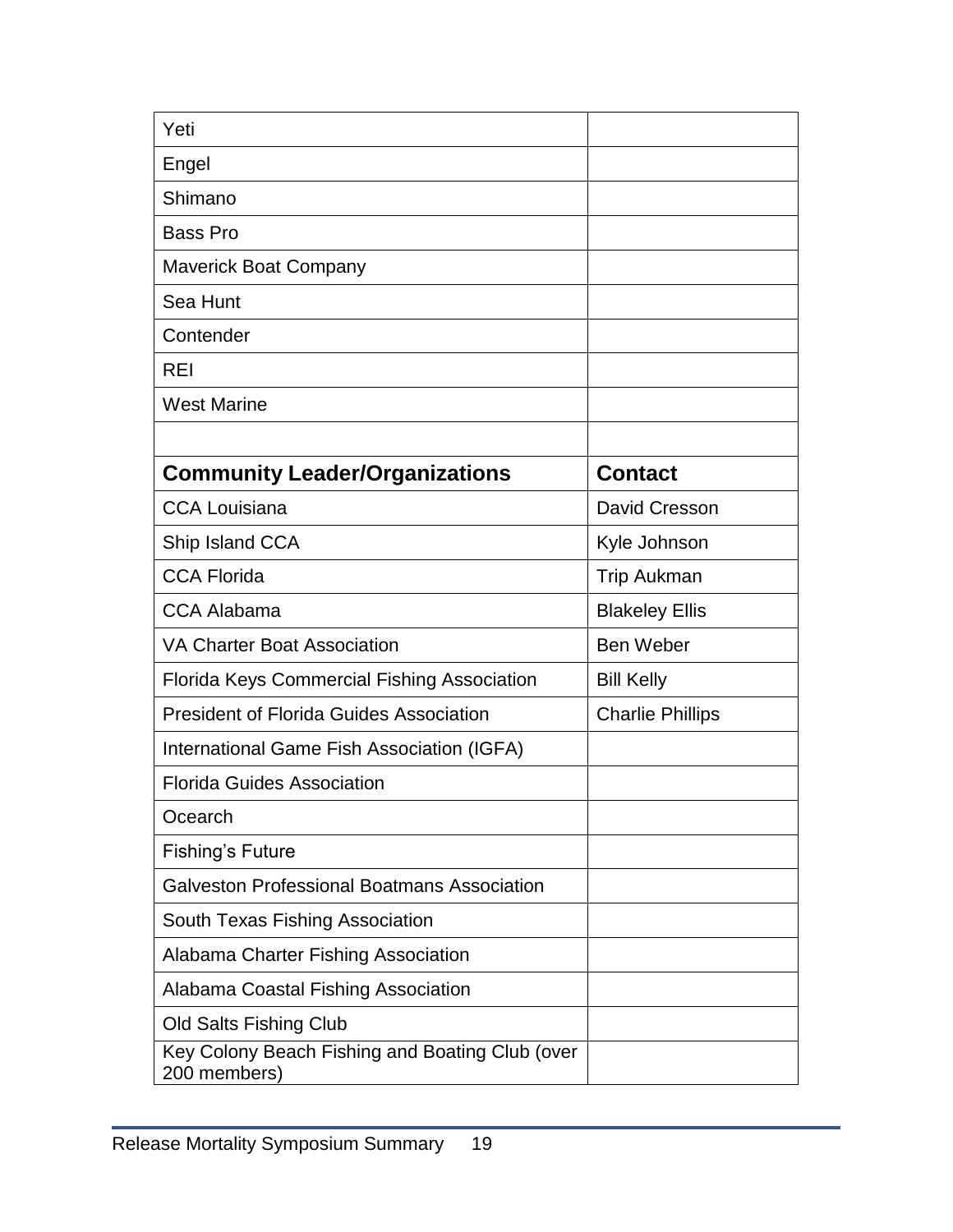| Yeti                                                            |                         |
|-----------------------------------------------------------------|-------------------------|
| Engel                                                           |                         |
| Shimano                                                         |                         |
| <b>Bass Pro</b>                                                 |                         |
| <b>Maverick Boat Company</b>                                    |                         |
| Sea Hunt                                                        |                         |
| Contender                                                       |                         |
| REI                                                             |                         |
| <b>West Marine</b>                                              |                         |
|                                                                 |                         |
| <b>Community Leader/Organizations</b>                           | <b>Contact</b>          |
| <b>CCA Louisiana</b>                                            | David Cresson           |
| Ship Island CCA                                                 | Kyle Johnson            |
| <b>CCA Florida</b>                                              | <b>Trip Aukman</b>      |
| <b>CCA Alabama</b>                                              | <b>Blakeley Ellis</b>   |
| <b>VA Charter Boat Association</b>                              | <b>Ben Weber</b>        |
| <b>Florida Keys Commercial Fishing Association</b>              | <b>Bill Kelly</b>       |
| <b>President of Florida Guides Association</b>                  | <b>Charlie Phillips</b> |
| International Game Fish Association (IGFA)                      |                         |
| <b>Florida Guides Association</b>                               |                         |
| Ocearch                                                         |                         |
| <b>Fishing's Future</b>                                         |                         |
| <b>Galveston Professional Boatmans Association</b>              |                         |
| South Texas Fishing Association                                 |                         |
| Alabama Charter Fishing Association                             |                         |
| Alabama Coastal Fishing Association                             |                         |
| Old Salts Fishing Club                                          |                         |
| Key Colony Beach Fishing and Boating Club (over<br>200 members) |                         |